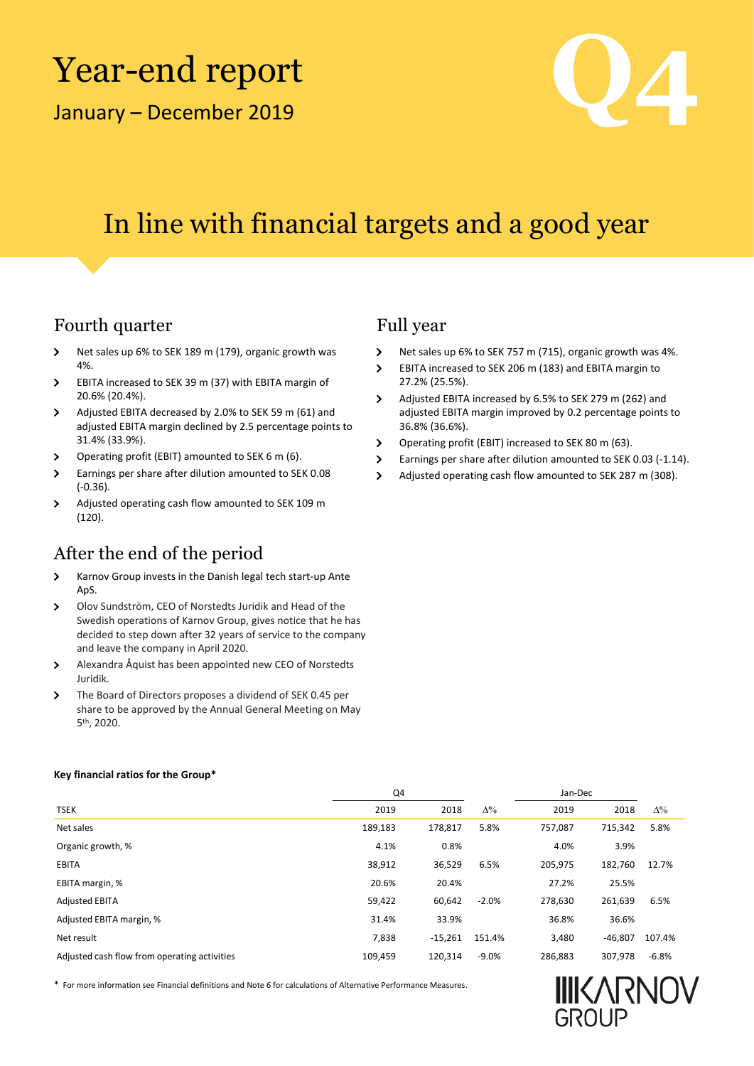# Year-end report

January –



### In line with financial targets and a good year

### Fourth quarter Full year

- $\rightarrow$ Net sales up 6% to SEK 189 m (179), organic growth was 4%.
- $\overline{\phantom{0}}$ EBITA increased to SEK 39 m (37) with EBITA margin of 20.6% (20.4%).
- Adjusted EBITA decreased by 2.0% to SEK 59 m (61) and  $\rightarrow$ adjusted EBITA margin declined by 2.5 percentage points to 31.4% (33.9%).
- Operating profit (EBIT) amounted to SEK 6 m (6).  $\overline{\phantom{a}}$
- $\rightarrow$ Earnings per share after dilution amounted to SEK 0.08 (-0.36).
- $\,$ Adjusted operating cash flow amounted to SEK 109 m (120).

### After the end of the period

- Karnov Group invests in the Danish legal tech start-up Ante  $\overline{ }$ ApS.
- $\rightarrow$ Olov Sundström, CEO of Norstedts Juridik and Head of the Swedish operations of Karnov Group, gives notice that he has decided to step down after 32 years of service to the company and leave the company in April 2020.
- $\sum_{i=1}^{n}$ Alexandra Åquist has been appointed new CEO of Norstedts Juridik.
- The Board of Directors proposes a dividend of SEK 0.45 per  $\,$ share to be approved by the Annual General Meeting on May 5 th, 2020.

- $\overline{\phantom{0}}$ Net sales up 6% to SEK 757 m (715), organic growth was 4%.
- $\mathbf{v}$ EBITA increased to SEK 206 m (183) and EBITA margin to 27.2% (25.5%).
- $\mathbf{v}$ Adjusted EBITA increased by 6.5% to SEK 279 m (262) and adjusted EBITA margin improved by 0.2 percentage points to 36.8% (36.6%).
- Operating profit (EBIT) increased to SEK 80 m (63).  $\mathbf{v}$
- $\overline{\phantom{0}}$ Earnings per share after dilution amounted to SEK 0.03 (-1.14).
- $\overline{ }$ Adjusted operating cash flow amounted to SEK 287 m (308).

|                                              | Q4      |           |            | Jan-Dec |           |            |
|----------------------------------------------|---------|-----------|------------|---------|-----------|------------|
| <b>TSEK</b>                                  | 2019    | 2018      | $\Delta\%$ | 2019    | 2018      | $\Delta\%$ |
| Net sales                                    | 189,183 | 178,817   | 5.8%       | 757.087 | 715,342   | 5.8%       |
| Organic growth, %                            | 4.1%    | 0.8%      |            | 4.0%    | 3.9%      |            |
| <b>EBITA</b>                                 | 38,912  | 36,529    | 6.5%       | 205,975 | 182,760   | 12.7%      |
| EBITA margin, %                              | 20.6%   | 20.4%     |            | 27.2%   | 25.5%     |            |
| <b>Adjusted EBITA</b>                        | 59,422  | 60.642    | $-2.0%$    | 278,630 | 261,639   | 6.5%       |
| Adjusted EBITA margin, %                     | 31.4%   | 33.9%     |            | 36.8%   | 36.6%     |            |
| Net result                                   | 7,838   | $-15.261$ | 151.4%     | 3,480   | $-46.807$ | 107.4%     |
| Adjusted cash flow from operating activities | 109,459 | 120,314   | $-9.0%$    | 286,883 | 307,978   | $-6.8%$    |

\* For more information see Financial definitions and Note 6 for calculations of Alternative Performance Measures.



#### **Key financial ratios for the Group\***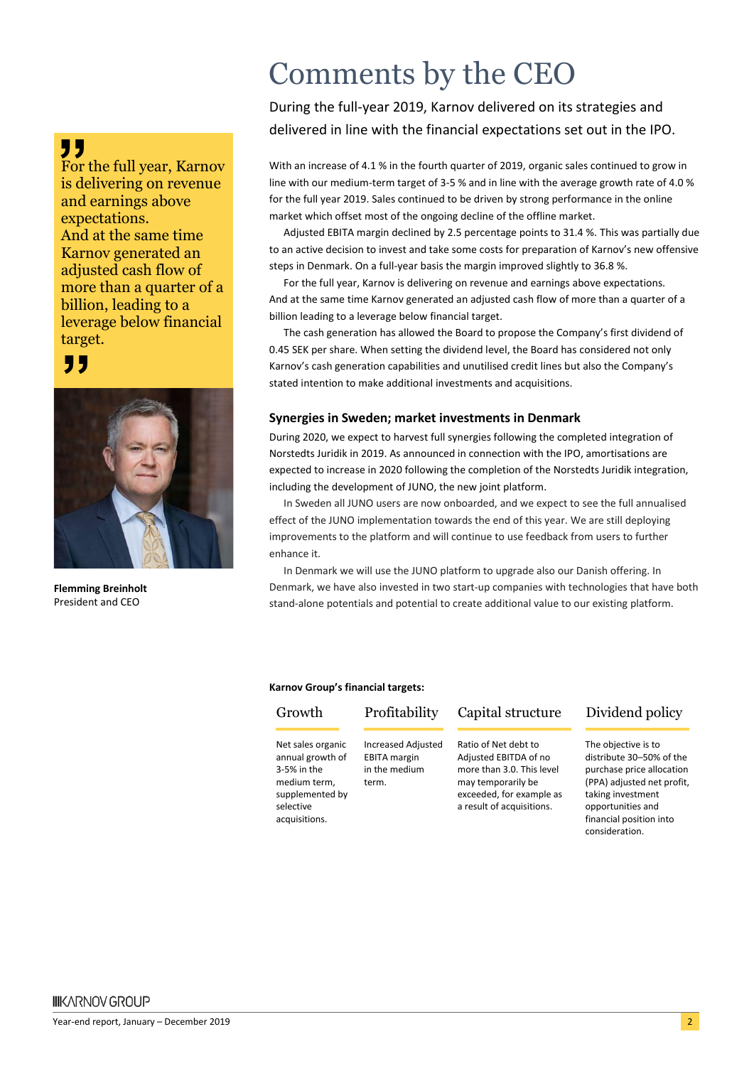### "

For the full year, Karnov is delivering on revenue and earnings above expectations. And at the same time Karnov generated an adjusted cash flow of more than a quarter of a billion, leading to a leverage below financial target.

### "



**Flemming Breinholt** President and CEO

## Comments by the CEO

During the full-year 2019, Karnov delivered on its strategies and delivered in line with the financial expectations set out in the IPO.

With an increase of 4.1 % in the fourth quarter of 2019, organic sales continued to grow in line with our medium-term target of 3-5 % and in line with the average growth rate of 4.0 % for the full year 2019. Sales continued to be driven by strong performance in the online market which offset most of the ongoing decline of the offline market.

Adjusted EBITA margin declined by 2.5 percentage points to 31.4 %. This was partially due to an active decision to invest and take some costs for preparation of Karnov's new offensive steps in Denmark. On a full-year basis the margin improved slightly to 36.8 %.

For the full year, Karnov is delivering on revenue and earnings above expectations. And at the same time Karnov generated an adjusted cash flow of more than a quarter of a billion leading to a leverage below financial target.

The cash generation has allowed the Board to propose the Company's first dividend of 0.45 SEK per share. When setting the dividend level, the Board has considered not only Karnov's cash generation capabilities and unutilised credit lines but also the Company's stated intention to make additional investments and acquisitions.

### **Synergies in Sweden; market investments in Denmark**

During 2020, we expect to harvest full synergies following the completed integration of Norstedts Juridik in 2019. As announced in connection with the IPO, amortisations are expected to increase in 2020 following the completion of the Norstedts Juridik integration, including the development of JUNO, the new joint platform.

In Sweden all JUNO users are now onboarded, and we expect to see the full annualised effect of the JUNO implementation towards the end of this year. We are still deploying improvements to the platform and will continue to use feedback from users to further enhance it.

In Denmark we will use the JUNO platform to upgrade also our Danish offering. In Denmark, we have also invested in two start-up companies with technologies that have both stand-alone potentials and potential to create additional value to our existing platform.

#### **Karnov Group's financial targets:**

Net sales organic annual growth of 3-5% in the medium term, supplemented by selective acquisitions.

Increased Adjusted EBITA margin in the medium term.

Growth Profitability Capital structure Dividend policy

Ratio of Net debt to Adjusted EBITDA of no more than 3.0. This level may temporarily be exceeded, for example as a result of acquisitions.

The objective is to distribute 30–50% of the purchase price allocation (PPA) adjusted net profit, taking investment opportunities and financial position into consideration.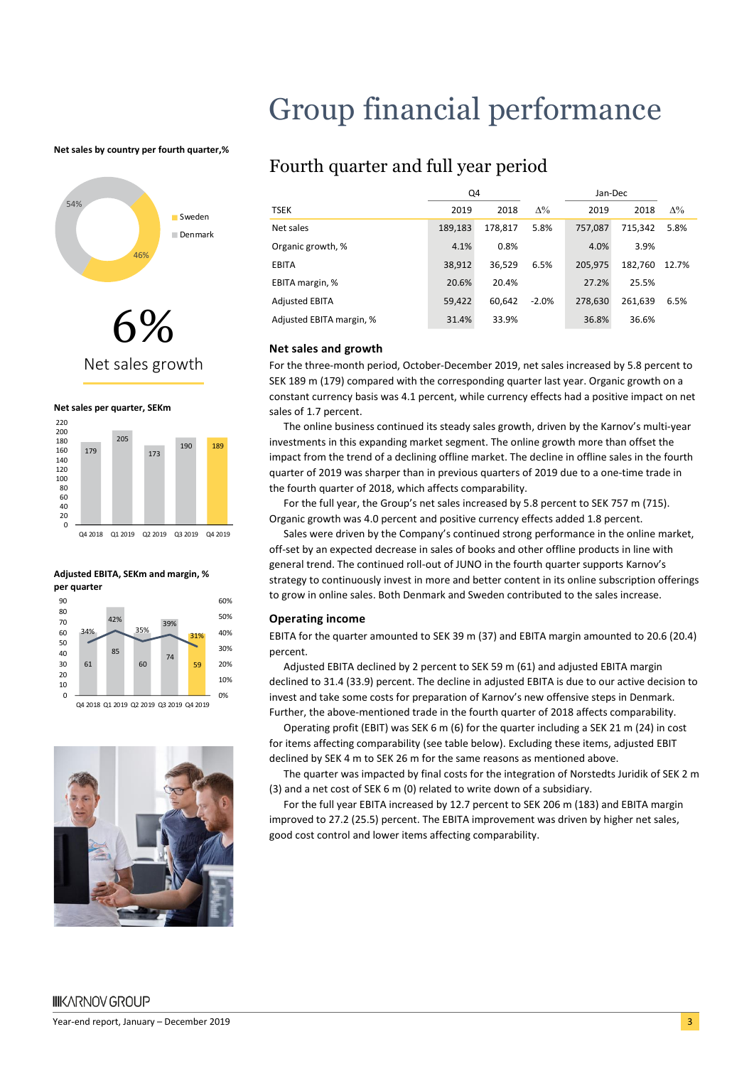## Group financial performance

#### **Net sales by country per fourth quarter,%**



Net sales growth







Q4 2018 Q1 2019 Q2 2019 Q3 2019 Q4 2019



### Fourth quarter and full year period

|                          | Q4      |         |             | Jan-Dec |         |            |
|--------------------------|---------|---------|-------------|---------|---------|------------|
| <b>TSEK</b>              | 2019    | 2018    | $\Lambda\%$ | 2019    | 2018    | $\Delta\%$ |
| Net sales                | 189,183 | 178.817 | 5.8%        | 757.087 | 715.342 | 5.8%       |
| Organic growth, %        | 4.1%    | 0.8%    |             | 4.0%    | 3.9%    |            |
| <b>EBITA</b>             | 38.912  | 36.529  | 6.5%        | 205.975 | 182,760 | 12.7%      |
| EBITA margin, %          | 20.6%   | 20.4%   |             | 27.2%   | 25.5%   |            |
| <b>Adjusted EBITA</b>    | 59,422  | 60.642  | $-2.0%$     | 278.630 | 261,639 | 6.5%       |
| Adjusted EBITA margin, % | 31.4%   | 33.9%   |             | 36.8%   | 36.6%   |            |

#### **Net sales and growth**

For the three-month period, October-December 2019, net sales increased by 5.8 percent to SEK 189 m (179) compared with the corresponding quarter last year. Organic growth on a constant currency basis was 4.1 percent, while currency effects had a positive impact on net sales of 1.7 percent.

The online business continued its steady sales growth, driven by the Karnov's multi-year investments in this expanding market segment. The online growth more than offset the impact from the trend of a declining offline market. The decline in offline sales in the fourth quarter of 2019 was sharper than in previous quarters of 2019 due to a one-time trade in the fourth quarter of 2018, which affects comparability.

For the full year, the Group's net sales increased by 5.8 percent to SEK 757 m (715). Organic growth was 4.0 percent and positive currency effects added 1.8 percent.

Sales were driven by the Company's continued strong performance in the online market, off-set by an expected decrease in sales of books and other offline products in line with general trend. The continued roll-out of JUNO in the fourth quarter supports Karnov's strategy to continuously invest in more and better content in its online subscription offerings to grow in online sales. Both Denmark and Sweden contributed to the sales increase.

#### **Operating income**

EBITA for the quarter amounted to SEK 39 m (37) and EBITA margin amounted to 20.6 (20.4) percent.

Adjusted EBITA declined by 2 percent to SEK 59 m (61) and adjusted EBITA margin declined to 31.4 (33.9) percent. The decline in adjusted EBITA is due to our active decision to invest and take some costs for preparation of Karnov's new offensive steps in Denmark. Further, the above-mentioned trade in the fourth quarter of 2018 affects comparability.

Operating profit (EBIT) was SEK 6 m (6) for the quarter including a SEK 21 m (24) in cost for items affecting comparability (see table below). Excluding these items, adjusted EBIT declined by SEK 4 m to SEK 26 m for the same reasons as mentioned above.

The quarter was impacted by final costs for the integration of Norstedts Juridik of SEK 2 m (3) and a net cost of SEK 6 m (0) related to write down of a subsidiary.

For the full year EBITA increased by 12.7 percent to SEK 206 m (183) and EBITA margin improved to 27.2 (25.5) percent. The EBITA improvement was driven by higher net sales, good cost control and lower items affecting comparability.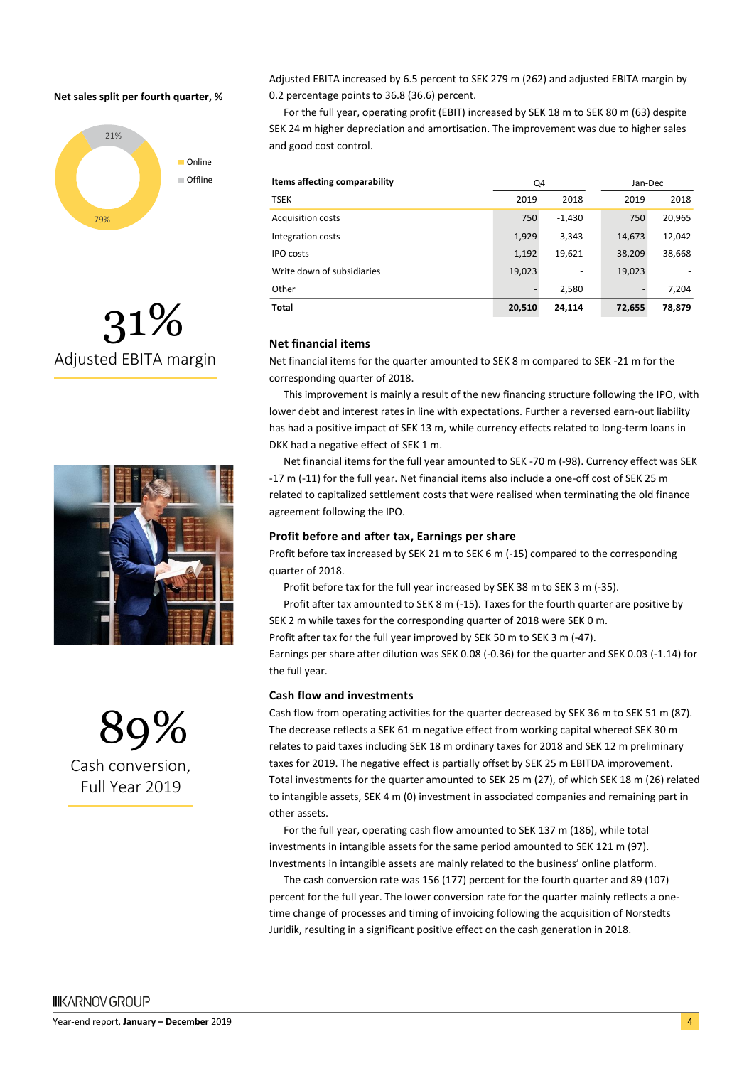#### **Net sales split per fourth quarter, %**







89% Cash conversion, Full Year 2019

Adjusted EBITA increased by 6.5 percent to SEK 279 m (262) and adjusted EBITA margin by 0.2 percentage points to 36.8 (36.6) percent.

For the full year, operating profit (EBIT) increased by SEK 18 m to SEK 80 m (63) despite SEK 24 m higher depreciation and amortisation. The improvement was due to higher sales and good cost control.

| Items affecting comparability | Q4       |          | Jan-Dec |        |
|-------------------------------|----------|----------|---------|--------|
| <b>TSEK</b>                   | 2019     | 2018     | 2019    | 2018   |
| <b>Acquisition costs</b>      | 750      | $-1,430$ | 750     | 20,965 |
| Integration costs             | 1,929    | 3,343    | 14,673  | 12,042 |
| <b>IPO</b> costs              | $-1,192$ | 19,621   | 38,209  | 38,668 |
| Write down of subsidiaries    | 19,023   |          | 19,023  |        |
| Other                         |          | 2,580    |         | 7,204  |
| <b>Total</b>                  | 20,510   | 24,114   | 72,655  | 78,879 |

#### **Net financial items**

Net financial items for the quarter amounted to SEK 8 m compared to SEK -21 m for the corresponding quarter of 2018.

This improvement is mainly a result of the new financing structure following the IPO, with lower debt and interest rates in line with expectations. Further a reversed earn-out liability has had a positive impact of SEK 13 m, while currency effects related to long-term loans in DKK had a negative effect of SEK 1 m.

Net financial items for the full year amounted to SEK -70 m (-98). Currency effect was SEK -17 m (-11) for the full year. Net financial items also include a one-off cost of SEK 25 m related to capitalized settlement costs that were realised when terminating the old finance agreement following the IPO.

#### **Profit before and after tax, Earnings per share**

Profit before tax increased by SEK 21 m to SEK 6 m (-15) compared to the corresponding quarter of 2018.

Profit before tax for the full year increased by SEK 38 m to SEK 3 m (-35).

Profit after tax amounted to SEK 8 m (-15). Taxes for the fourth quarter are positive by SEK 2 m while taxes for the corresponding quarter of 2018 were SEK 0 m.

Profit after tax for the full year improved by SEK 50 m to SEK 3 m (-47).

Earnings per share after dilution was SEK 0.08 (-0.36) for the quarter and SEK 0.03 (-1.14) for the full year.

#### **Cash flow and investments**

Cash flow from operating activities for the quarter decreased by SEK 36 m to SEK 51 m (87). The decrease reflects a SEK 61 m negative effect from working capital whereof SEK 30 m relates to paid taxes including SEK 18 m ordinary taxes for 2018 and SEK 12 m preliminary taxes for 2019. The negative effect is partially offset by SEK 25 m EBITDA improvement. Total investments for the quarter amounted to SEK 25 m (27), of which SEK 18 m (26) related to intangible assets, SEK 4 m (0) investment in associated companies and remaining part in other assets.

For the full year, operating cash flow amounted to SEK 137 m (186), while total investments in intangible assets for the same period amounted to SEK 121 m (97). Investments in intangible assets are mainly related to the business' online platform.

The cash conversion rate was 156 (177) percent for the fourth quarter and 89 (107) percent for the full year. The lower conversion rate for the quarter mainly reflects a onetime change of processes and timing of invoicing following the acquisition of Norstedts Juridik, resulting in a significant positive effect on the cash generation in 2018.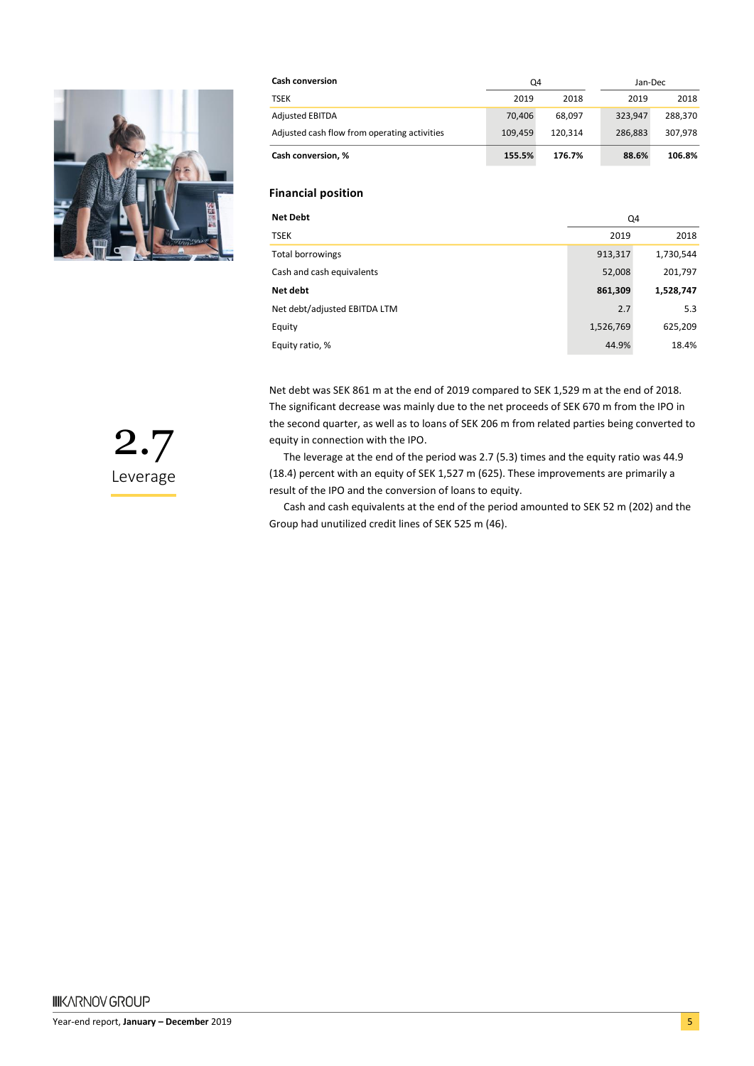

| <b>Cash conversion</b>                       | Q4      |         | Jan-Dec |         |  |
|----------------------------------------------|---------|---------|---------|---------|--|
| <b>TSEK</b>                                  | 2019    | 2018    | 2019    | 2018    |  |
| <b>Adjusted EBITDA</b>                       | 70.406  | 68.097  | 323.947 | 288.370 |  |
| Adjusted cash flow from operating activities | 109.459 | 120.314 | 286.883 | 307.978 |  |
| Cash conversion, %                           | 155.5%  | 176.7%  | 88.6%   | 106.8%  |  |

#### **Financial position**

| <b>Net Debt</b>              | Q4        |           |  |
|------------------------------|-----------|-----------|--|
| <b>TSEK</b>                  | 2019      | 2018      |  |
| <b>Total borrowings</b>      | 913,317   | 1,730,544 |  |
| Cash and cash equivalents    | 52,008    | 201,797   |  |
| Net debt                     | 861,309   | 1,528,747 |  |
| Net debt/adjusted EBITDA LTM | 2.7       | 5.3       |  |
| Equity                       | 1,526,769 | 625,209   |  |
| Equity ratio, %              | 44.9%     | 18.4%     |  |

Net debt was SEK 861 m at the end of 2019 compared to SEK 1,529 m at the end of 2018. The significant decrease was mainly due to the net proceeds of SEK 670 m from the IPO in the second quarter, as well as to loans of SEK 206 m from related parties being converted to equity in connection with the IPO.

The leverage at the end of the period was 2.7 (5.3) times and the equity ratio was 44.9 (18.4) percent with an equity of SEK 1,527 m (625). These improvements are primarily a result of the IPO and the conversion of loans to equity.

Cash and cash equivalents at the end of the period amounted to SEK 52 m (202) and the Group had unutilized credit lines of SEK 525 m (46).

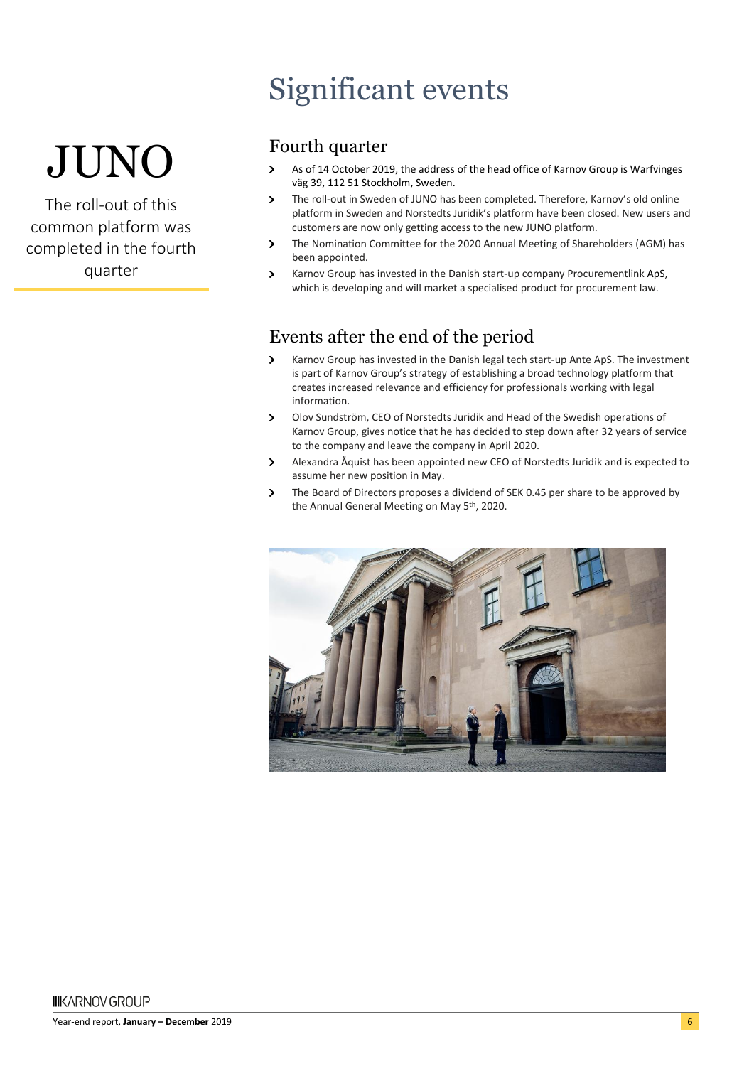# JUNO

The roll-out of this common platform was completed in the fourth quarter

## Significant events

### Fourth quarter

- $\overline{\phantom{0}}$ As of 14 October 2019, the address of the head office of Karnov Group is Warfvinges väg 39, 112 51 Stockholm, Sweden.
- $\overline{\phantom{0}}$ The roll-out in Sweden of JUNO has been completed. Therefore, Karnov's old online platform in Sweden and Norstedts Juridik's platform have been closed. New users and customers are now only getting access to the new JUNO platform.
- The Nomination Committee for the 2020 Annual Meeting of Shareholders (AGM) has  $\overline{\phantom{0}}$ been appointed.
- Karnov Group has invested in the Danish start-up company Procurementlink ApS, which is developing and will market a specialised product for procurement law.

### Events after the end of the period

- Karnov Group has invested in the Danish legal tech start-up Ante ApS. The investment  $\overline{\phantom{0}}$ is part of Karnov Group's strategy of establishing a broad technology platform that creates increased relevance and efficiency for professionals working with legal information.
- $\mathbf{v}$ Olov Sundström, CEO of Norstedts Juridik and Head of the Swedish operations of Karnov Group, gives notice that he has decided to step down after 32 years of service to the company and leave the company in April 2020.
- $\overline{\phantom{0}}$ Alexandra Åquist has been appointed new CEO of Norstedts Juridik and is expected to assume her new position in May.
- The Board of Directors proposes a dividend of SEK 0.45 per share to be approved by  $\mathbf{v}$ the Annual General Meeting on May 5th, 2020.

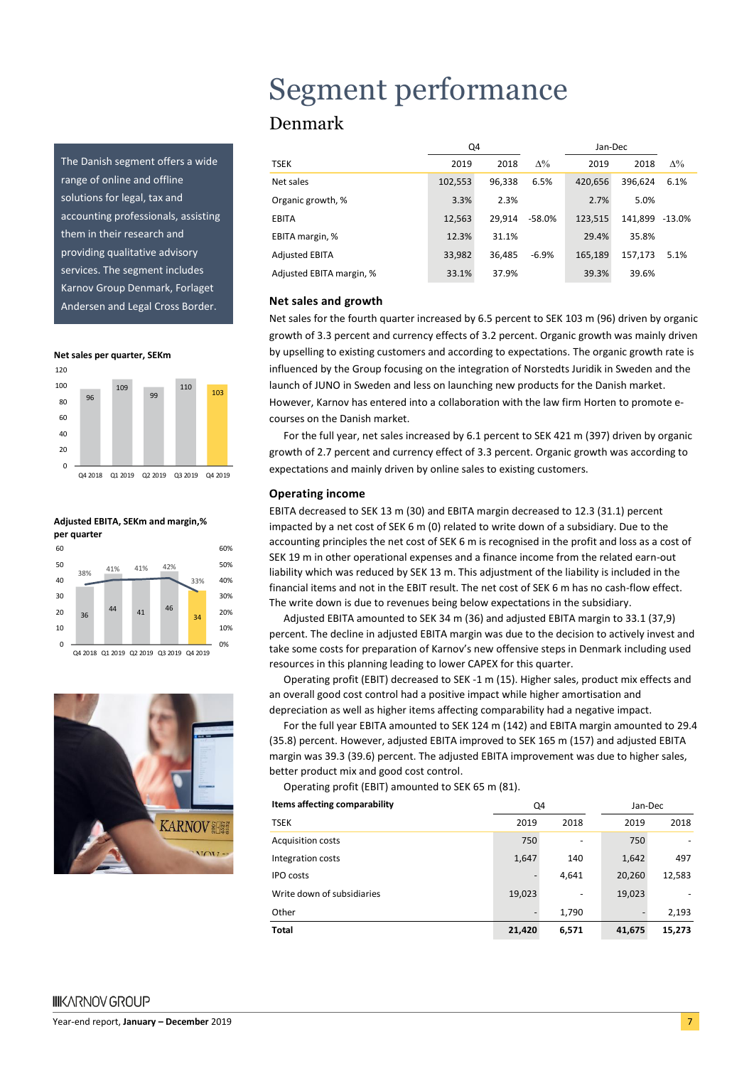The Danish segment offers a wide range of online and offline solutions for legal, tax and accounting professionals, assisting them in their research and providing qualitative advisory services. The segment includes Karnov Group Denmark, Forlaget Andersen and Legal Cross Border.

**Net sales per quarter, SEKm**









### Segment performance Denmark

|                          | Q4      |        |            | Jan-Dec |         |            |
|--------------------------|---------|--------|------------|---------|---------|------------|
| <b>TSEK</b>              | 2019    | 2018   | $\Delta\%$ | 2019    | 2018    | $\Delta\%$ |
| Net sales                | 102,553 | 96.338 | 6.5%       | 420.656 | 396.624 | 6.1%       |
| Organic growth, %        | 3.3%    | 2.3%   |            | 2.7%    | 5.0%    |            |
| <b>EBITA</b>             | 12.563  | 29.914 | -58.0%     | 123.515 | 141.899 | -13.0%     |
| EBITA margin, %          | 12.3%   | 31.1%  |            | 29.4%   | 35.8%   |            |
| <b>Adjusted EBITA</b>    | 33.982  | 36.485 | $-6.9%$    | 165.189 | 157,173 | 5.1%       |
| Adjusted EBITA margin, % | 33.1%   | 37.9%  |            | 39.3%   | 39.6%   |            |

#### **Net sales and growth**

Net sales for the fourth quarter increased by 6.5 percent to SEK 103 m (96) driven by organic growth of 3.3 percent and currency effects of 3.2 percent. Organic growth was mainly driven by upselling to existing customers and according to expectations. The organic growth rate is influenced by the Group focusing on the integration of Norstedts Juridik in Sweden and the launch of JUNO in Sweden and less on launching new products for the Danish market. However, Karnov has entered into a collaboration with the law firm Horten to promote ecourses on the Danish market.

For the full year, net sales increased by 6.1 percent to SEK 421 m (397) driven by organic growth of 2.7 percent and currency effect of 3.3 percent. Organic growth was according to expectations and mainly driven by online sales to existing customers.

#### **Operating income**

EBITA decreased to SEK 13 m (30) and EBITA margin decreased to 12.3 (31.1) percent impacted by a net cost of SEK 6 m (0) related to write down of a subsidiary. Due to the accounting principles the net cost of SEK 6 m is recognised in the profit and loss as a cost of SEK 19 m in other operational expenses and a finance income from the related earn-out liability which was reduced by SEK 13 m. This adjustment of the liability is included in the financial items and not in the EBIT result. The net cost of SEK 6 m has no cash-flow effect. The write down is due to revenues being below expectations in the subsidiary.

Adjusted EBITA amounted to SEK 34 m (36) and adjusted EBITA margin to 33.1 (37,9) percent. The decline in adjusted EBITA margin was due to the decision to actively invest and take some costs for preparation of Karnov's new offensive steps in Denmark including used resources in this planning leading to lower CAPEX for this quarter.

Operating profit (EBIT) decreased to SEK -1 m (15). Higher sales, product mix effects and an overall good cost control had a positive impact while higher amortisation and depreciation as well as higher items affecting comparability had a negative impact.

For the full year EBITA amounted to SEK 124 m (142) and EBITA margin amounted to 29.4 (35.8) percent. However, adjusted EBITA improved to SEK 165 m (157) and adjusted EBITA margin was 39.3 (39.6) percent. The adjusted EBITA improvement was due to higher sales, better product mix and good cost control.

Operating profit (EBIT) amounted to SEK 65 m (81).

| Items affecting comparability | Q4                       |       | Jan-Dec |        |
|-------------------------------|--------------------------|-------|---------|--------|
| <b>TSEK</b>                   | 2019                     | 2018  | 2019    | 2018   |
| Acquisition costs             | 750                      |       | 750     |        |
| Integration costs             | 1,647                    | 140   | 1,642   | 497    |
| <b>IPO</b> costs              | $\overline{\phantom{a}}$ | 4,641 | 20,260  | 12,583 |
| Write down of subsidiaries    | 19,023                   |       | 19,023  |        |
| Other                         |                          | 1,790 |         | 2,193  |
| <b>Total</b>                  | 21,420                   | 6,571 | 41,675  | 15,273 |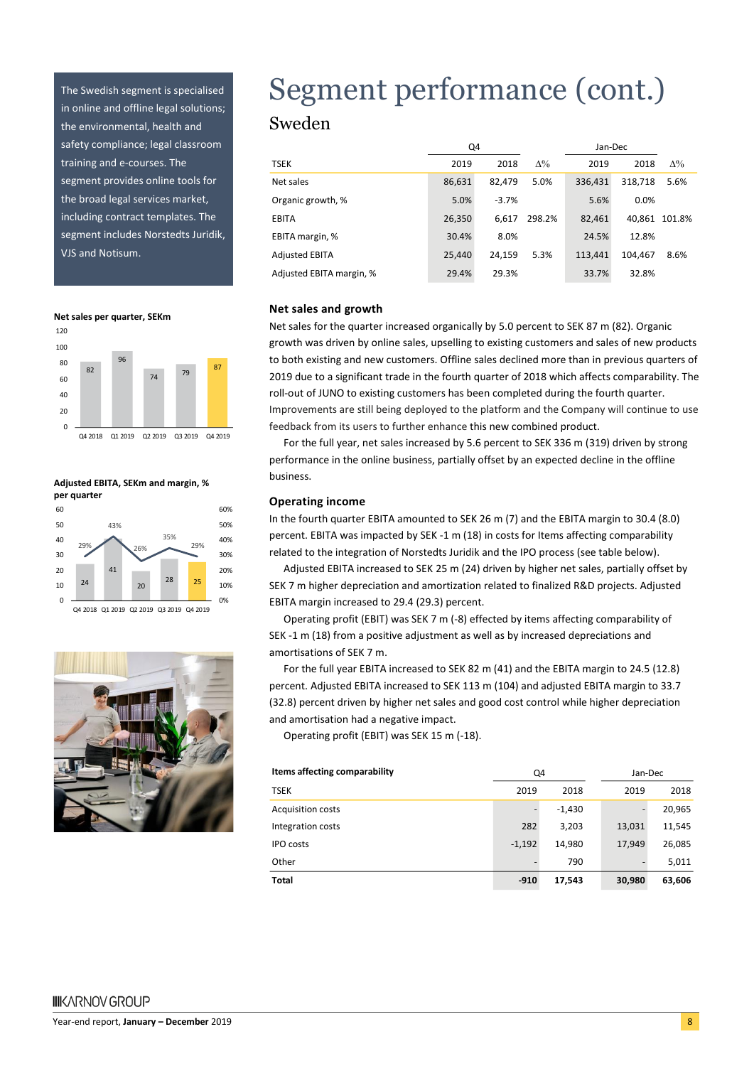The Swedish segment is specialised in online and offline legal solutions; the environmental, health and safety compliance; legal classroom training and e-courses. The segment provides online tools for the broad legal services market, including contract templates. The segment includes Norstedts Juridik, VJS and Notisum.

**Net sales per quarter, SEKm**







# Segment performance (cont.)

### Sweden

|                          | Q4     |         |            | Jan-Dec |         |               |
|--------------------------|--------|---------|------------|---------|---------|---------------|
| TSEK                     | 2019   | 2018    | $\Delta\%$ | 2019    | 2018    | $\Delta\%$    |
| Net sales                | 86,631 | 82.479  | 5.0%       | 336.431 | 318.718 | 5.6%          |
| Organic growth, %        | 5.0%   | $-3.7%$ |            | 5.6%    | 0.0%    |               |
| <b>EBITA</b>             | 26,350 | 6.617   | 298.2%     | 82.461  |         | 40.861 101.8% |
| EBITA margin, %          | 30.4%  | 8.0%    |            | 24.5%   | 12.8%   |               |
| <b>Adjusted EBITA</b>    | 25,440 | 24.159  | 5.3%       | 113.441 | 104.467 | 8.6%          |
| Adjusted EBITA margin, % | 29.4%  | 29.3%   |            | 33.7%   | 32.8%   |               |

#### **Net sales and growth**

Net sales for the quarter increased organically by 5.0 percent to SEK 87 m (82). Organic growth was driven by online sales, upselling to existing customers and sales of new products to both existing and new customers. Offline sales declined more than in previous quarters of 2019 due to a significant trade in the fourth quarter of 2018 which affects comparability. The roll-out of JUNO to existing customers has been completed during the fourth quarter. Improvements are still being deployed to the platform and the Company will continue to use feedback from its users to further enhance this new combined product.

For the full year, net sales increased by 5.6 percent to SEK 336 m (319) driven by strong performance in the online business, partially offset by an expected decline in the offline business.

#### **Operating income**

In the fourth quarter EBITA amounted to SEK 26 m (7) and the EBITA margin to 30.4 (8.0) percent. EBITA was impacted by SEK -1 m (18) in costs for Items affecting comparability related to the integration of Norstedts Juridik and the IPO process (see table below).

Adjusted EBITA increased to SEK 25 m (24) driven by higher net sales, partially offset by SEK 7 m higher depreciation and amortization related to finalized R&D projects. Adjusted EBITA margin increased to 29.4 (29.3) percent.

Operating profit (EBIT) was SEK 7 m (-8) effected by items affecting comparability of SEK -1 m (18) from a positive adjustment as well as by increased depreciations and amortisations of SEK 7 m.

For the full year EBITA increased to SEK 82 m (41) and the EBITA margin to 24.5 (12.8) percent. Adjusted EBITA increased to SEK 113 m (104) and adjusted EBITA margin to 33.7 (32.8) percent driven by higher net sales and good cost control while higher depreciation and amortisation had a negative impact.

Operating profit (EBIT) was SEK 15 m (-18).

| Items affecting comparability | Q4                       |          | Jan-Dec |        |  |
|-------------------------------|--------------------------|----------|---------|--------|--|
| <b>TSEK</b>                   | 2019                     | 2018     | 2019    | 2018   |  |
| <b>Acquisition costs</b>      | $\overline{\phantom{a}}$ | $-1,430$ | ٠       | 20,965 |  |
| Integration costs             | 282                      | 3,203    | 13,031  | 11,545 |  |
| <b>IPO</b> costs              | $-1,192$                 | 14,980   | 17,949  | 26,085 |  |
| Other                         | -                        | 790      |         | 5,011  |  |
| <b>Total</b>                  | $-910$                   | 17,543   | 30,980  | 63,606 |  |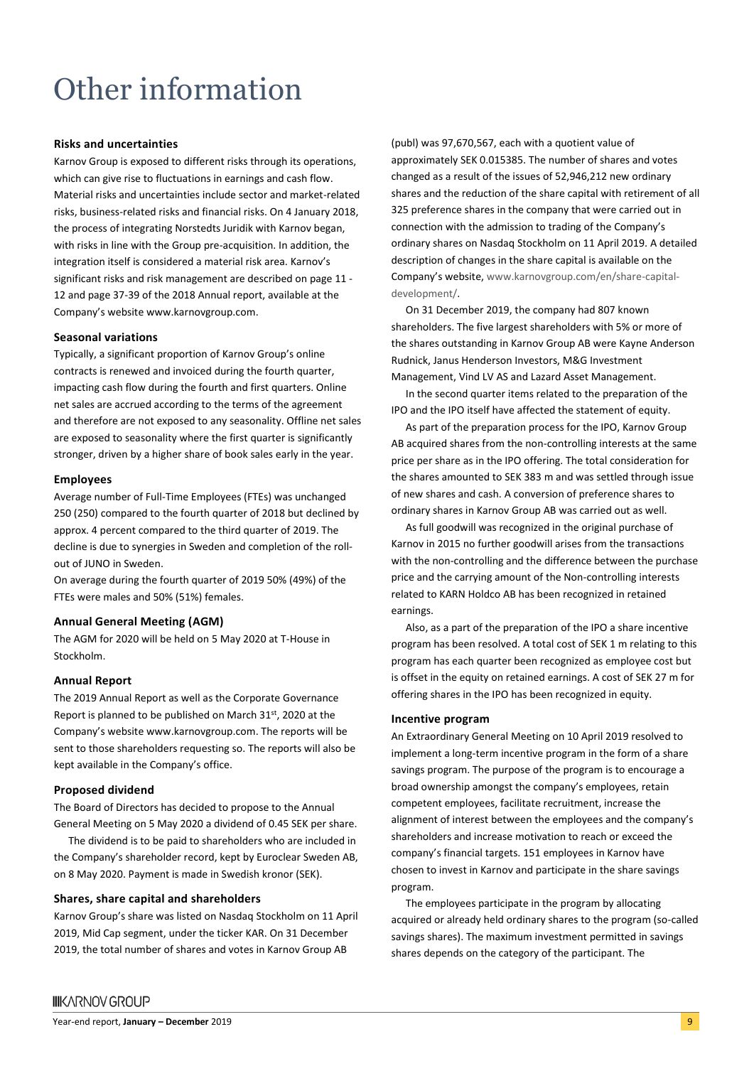## Other information

#### **Risks and uncertainties**

Karnov Group is exposed to different risks through its operations, which can give rise to fluctuations in earnings and cash flow. Material risks and uncertainties include sector and market-related risks, business-related risks and financial risks. On 4 January 2018, the process of integrating Norstedts Juridik with Karnov began, with risks in line with the Group pre-acquisition. In addition, the integration itself is considered a material risk area. Karnov's significant risks and risk management are described on page 11 - 12 and page 37-39 of the 2018 Annual report, available at the Company's website www.karnovgroup.com.

#### **Seasonal variations**

Typically, a significant proportion of Karnov Group's online contracts is renewed and invoiced during the fourth quarter, impacting cash flow during the fourth and first quarters. Online net sales are accrued according to the terms of the agreement and therefore are not exposed to any seasonality. Offline net sales are exposed to seasonality where the first quarter is significantly stronger, driven by a higher share of book sales early in the year.

#### **Employees**

Average number of Full-Time Employees (FTEs) was unchanged 250 (250) compared to the fourth quarter of 2018 but declined by approx. 4 percent compared to the third quarter of 2019. The decline is due to synergies in Sweden and completion of the rollout of JUNO in Sweden.

On average during the fourth quarter of 2019 50% (49%) of the FTEs were males and 50% (51%) females.

#### **Annual General Meeting (AGM)**

The AGM for 2020 will be held on 5 May 2020 at T-House in Stockholm.

#### **Annual Report**

The 2019 Annual Report as well as the Corporate Governance Report is planned to be published on March 31st, 2020 at the Company's website www.karnovgroup.com. The reports will be sent to those shareholders requesting so. The reports will also be kept available in the Company's office.

#### **Proposed dividend**

The Board of Directors has decided to propose to the Annual General Meeting on 5 May 2020 a dividend of 0.45 SEK per share.

The dividend is to be paid to shareholders who are included in the Company's shareholder record, kept by Euroclear Sweden AB, on 8 May 2020. Payment is made in Swedish kronor (SEK).

#### **Shares, share capital and shareholders**

Karnov Group's share was listed on Nasdaq Stockholm on 11 April 2019, Mid Cap segment, under the ticker KAR. On 31 December 2019, the total number of shares and votes in Karnov Group AB

(publ) was 97,670,567, each with a quotient value of approximately SEK 0.015385. The number of shares and votes changed as a result of the issues of 52,946,212 new ordinary shares and the reduction of the share capital with retirement of all 325 preference shares in the company that were carried out in connection with the admission to trading of the Company's ordinary shares on Nasdaq Stockholm on 11 April 2019. A detailed description of changes in the share capital is available on the Company's website, [www.karnovgroup.com/en/share-capital](http://www.karnovgroup.com/en/share-capital-development/)[development/.](http://www.karnovgroup.com/en/share-capital-development/)

On 31 December 2019, the company had 807 known shareholders. The five largest shareholders with 5% or more of the shares outstanding in Karnov Group AB were Kayne Anderson Rudnick, Janus Henderson Investors, M&G Investment Management, Vind LV AS and Lazard Asset Management.

In the second quarter items related to the preparation of the IPO and the IPO itself have affected the statement of equity.

As part of the preparation process for the IPO, Karnov Group AB acquired shares from the non-controlling interests at the same price per share as in the IPO offering. The total consideration for the shares amounted to SEK 383 m and was settled through issue of new shares and cash. A conversion of preference shares to ordinary shares in Karnov Group AB was carried out as well.

As full goodwill was recognized in the original purchase of Karnov in 2015 no further goodwill arises from the transactions with the non-controlling and the difference between the purchase price and the carrying amount of the Non-controlling interests related to KARN Holdco AB has been recognized in retained earnings.

Also, as a part of the preparation of the IPO a share incentive program has been resolved. A total cost of SEK 1 m relating to this program has each quarter been recognized as employee cost but is offset in the equity on retained earnings. A cost of SEK 27 m for offering shares in the IPO has been recognized in equity.

#### **Incentive program**

An Extraordinary General Meeting on 10 April 2019 resolved to implement a long-term incentive program in the form of a share savings program. The purpose of the program is to encourage a broad ownership amongst the company's employees, retain competent employees, facilitate recruitment, increase the alignment of interest between the employees and the company's shareholders and increase motivation to reach or exceed the company's financial targets. 151 employees in Karnov have chosen to invest in Karnov and participate in the share savings program.

The employees participate in the program by allocating acquired or already held ordinary shares to the program (so-called savings shares). The maximum investment permitted in savings shares depends on the category of the participant. The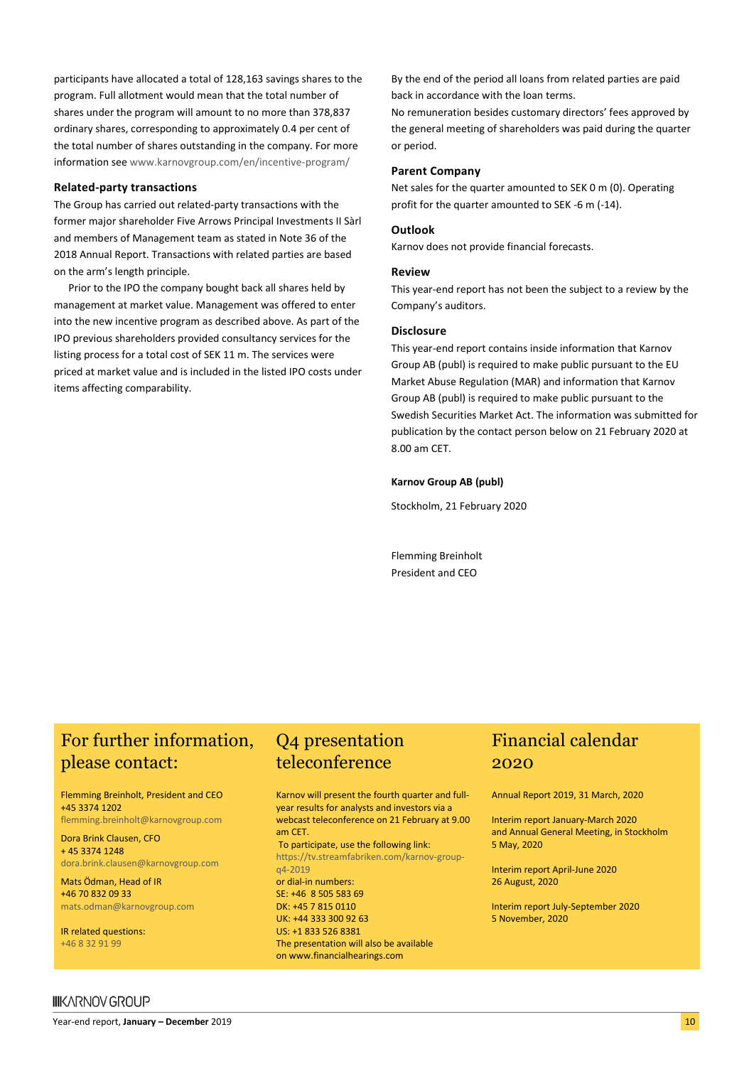participants have allocated a total of 128,163 savings shares to the program. Full allotment would mean that the total number of shares under the program will amount to no more than 378,837 ordinary shares, corresponding to approximately 0.4 per cent of the total number of shares outstanding in the company. For more information se[e www.karnovgroup.com/en/incentive-program/](http://www.karnovgroup.com/en/incentive-program/)

#### **Related-party transactions**

The Group has carried out related-party transactions with the former major shareholder Five Arrows Principal Investments II Sàrl and members of Management team as stated in Note 36 of the 2018 Annual Report. Transactions with related parties are based on the arm's length principle.

Prior to the IPO the company bought back all shares held by management at market value. Management was offered to enter into the new incentive program as described above. As part of the IPO previous shareholders provided consultancy services for the listing process for a total cost of SEK 11 m. The services were priced at market value and is included in the listed IPO costs under items affecting comparability.

By the end of the period all loans from related parties are paid back in accordance with the loan terms.

No remuneration besides customary directors' fees approved by the general meeting of shareholders was paid during the quarter or period.

#### **Parent Company**

Net sales for the quarter amounted to SEK 0 m (0). Operating profit for the quarter amounted to SEK -6 m (-14).

#### **Outlook**

Karnov does not provide financial forecasts.

#### **Review**

This year-end report has not been the subject to a review by the Company's auditors.

#### **Disclosure**

This year-end report contains inside information that Karnov Group AB (publ) is required to make public pursuant to the EU Market Abuse Regulation (MAR) and information that Karnov Group AB (publ) is required to make public pursuant to the Swedish Securities Market Act. The information was submitted for publication by the contact person below on 21 February 2020 at 8.00 am CET.

#### **Karnov Group AB (publ)**

Stockholm, 21 February 2020

Flemming Breinholt President and CEO

### For further information, Q4 presentation please contact:

Flemming Breinholt, President and CEO +45 3374 1202 [flemming.breinholt@karnovgroup.com](mailto:flemming.breinholt@karnovgroup.com)

Dora Brink Clausen, CFO

+ 45 3374 1248 [dora.brink.clausen@karnovgroup.com](mailto:dora.brink.clausen@karnovgroup.com)

Mats Ödman, Head of IR +46 70 832 09 33 [mats.odman@karnovgroup.com](mailto:mats.odman@karnovgroup.com)

IR related questions: +46 8 32 91 99

# teleconference

Karnov will present the fourth quarter and fullyear results for analysts and investors via a webcast teleconference on 21 February at 9.00 am CET. To participate, use the following link: [https://tv.streamfabriken.com/karnov-group](https://tv.streamfabriken.com/karnov-group-q4-2019)[q4-2019](https://tv.streamfabriken.com/karnov-group-q4-2019)

or dial-in numbers: SE: +46 8 505 583 69 DK: +45 7 815 0110 UK: +44 333 300 92 63 US: +1 833 526 8381 The presentation will also be available on [www.financialhearings.com](http://www.financialhearings.com/)

### Financial calendar 2020

Annual Report 2019, 31 March, 2020

Interim report January-March 2020 and Annual General Meeting, in Stockholm 5 May, 2020

Interim report April-June 2020 26 August, 2020

Interim report July-September 2020 5 November, 2020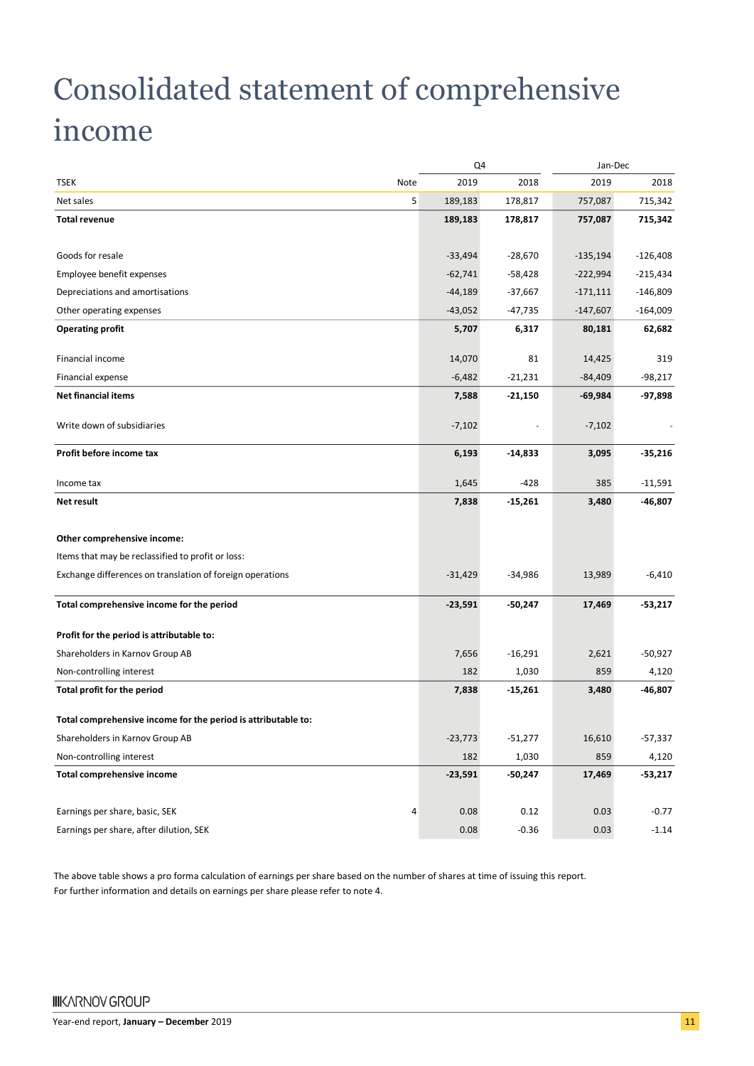## Consolidated statement of comprehensive income

|                                                               |           | Q4        |            | Jan-Dec    |
|---------------------------------------------------------------|-----------|-----------|------------|------------|
| <b>TSEK</b><br>Note                                           | 2019      | 2018      | 2019       | 2018       |
| 5<br>Net sales                                                | 189,183   | 178,817   | 757,087    | 715,342    |
| <b>Total revenue</b>                                          | 189,183   | 178,817   | 757,087    | 715,342    |
|                                                               |           |           |            |            |
| Goods for resale                                              | $-33,494$ | $-28,670$ | $-135,194$ | $-126,408$ |
| Employee benefit expenses                                     | $-62,741$ | -58,428   | $-222,994$ | $-215,434$ |
| Depreciations and amortisations                               | $-44,189$ | $-37,667$ | $-171,111$ | $-146,809$ |
| Other operating expenses                                      | $-43,052$ | $-47,735$ | $-147,607$ | $-164,009$ |
| <b>Operating profit</b>                                       | 5,707     | 6,317     | 80,181     | 62,682     |
| Financial income                                              | 14,070    | 81        | 14,425     | 319        |
| Financial expense                                             | $-6,482$  | $-21,231$ | -84,409    | $-98,217$  |
| <b>Net financial items</b>                                    | 7,588     | $-21,150$ | -69,984    | -97,898    |
| Write down of subsidiaries                                    | $-7,102$  |           | $-7,102$   |            |
| Profit before income tax                                      | 6,193     | $-14,833$ | 3,095      | $-35,216$  |
| Income tax                                                    | 1,645     | $-428$    | 385        | $-11,591$  |
| <b>Net result</b>                                             | 7,838     | $-15,261$ | 3,480      | -46,807    |
| Other comprehensive income:                                   |           |           |            |            |
| Items that may be reclassified to profit or loss:             |           |           |            |            |
| Exchange differences on translation of foreign operations     | $-31,429$ | -34,986   | 13,989     | $-6,410$   |
| Total comprehensive income for the period                     | $-23,591$ | -50,247   | 17,469     | $-53,217$  |
| Profit for the period is attributable to:                     |           |           |            |            |
| Shareholders in Karnov Group AB                               | 7,656     | $-16,291$ | 2,621      | $-50,927$  |
| Non-controlling interest                                      | 182       | 1,030     | 859        | 4,120      |
| Total profit for the period                                   | 7,838     | $-15,261$ | 3,480      | -46,807    |
| Total comprehensive income for the period is attributable to: |           |           |            |            |
| Shareholders in Karnov Group AB                               | $-23,773$ | $-51,277$ | 16,610     | $-57,337$  |
| Non-controlling interest                                      | 182       | 1,030     | 859        | 4,120      |
| Total comprehensive income                                    | $-23,591$ | $-50,247$ | 17,469     | $-53,217$  |
| Earnings per share, basic, SEK<br>4                           | 0.08      | 0.12      | 0.03       | $-0.77$    |
| Earnings per share, after dilution, SEK                       | 0.08      | $-0.36$   | 0.03       | $-1.14$    |

The above table shows a pro forma calculation of earnings per share based on the number of shares at time of issuing this report. For further information and details on earnings per share please refer to note 4.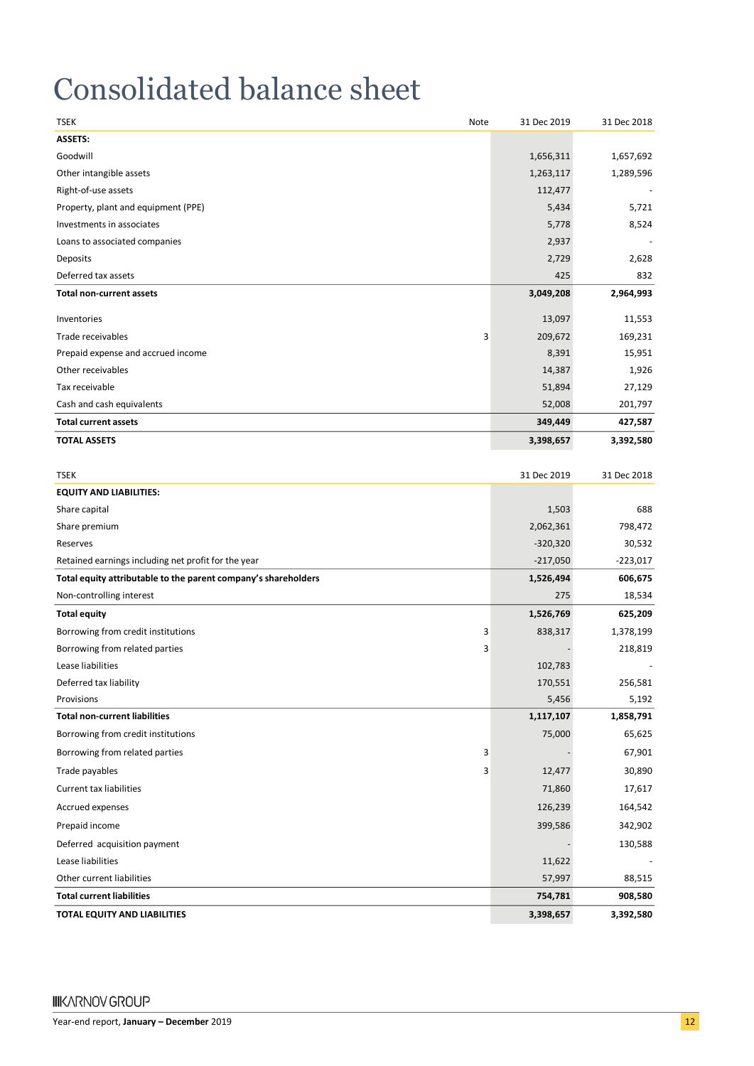## Consolidated balance sheet

| TSEK<br>Note                                                   | 31 Dec 2019 | 31 Dec 2018 |
|----------------------------------------------------------------|-------------|-------------|
| ASSETS:                                                        |             |             |
| Goodwill                                                       | 1,656,311   | 1,657,692   |
| Other intangible assets                                        | 1,263,117   | 1,289,596   |
| Right-of-use assets                                            | 112,477     |             |
| Property, plant and equipment (PPE)                            | 5,434       | 5,721       |
| Investments in associates                                      | 5,778       | 8,524       |
| Loans to associated companies                                  | 2,937       |             |
| Deposits                                                       | 2,729       | 2,628       |
| Deferred tax assets                                            | 425         | 832         |
| <b>Total non-current assets</b>                                | 3,049,208   | 2,964,993   |
| Inventories                                                    | 13,097      | 11,553      |
| 3<br>Trade receivables                                         | 209,672     | 169,231     |
| Prepaid expense and accrued income                             | 8,391       | 15,951      |
| Other receivables                                              | 14,387      | 1,926       |
| Tax receivable                                                 | 51,894      | 27,129      |
| Cash and cash equivalents                                      | 52,008      | 201,797     |
| <b>Total current assets</b>                                    | 349,449     | 427,587     |
| <b>TOTAL ASSETS</b>                                            | 3,398,657   | 3,392,580   |
|                                                                |             |             |
| <b>TSEK</b>                                                    | 31 Dec 2019 | 31 Dec 2018 |
| <b>EQUITY AND LIABILITIES:</b>                                 |             |             |
| Share capital                                                  | 1,503       | 688         |
| Share premium                                                  | 2,062,361   | 798,472     |
| Reserves                                                       | $-320,320$  | 30,532      |
| Retained earnings including net profit for the year            | $-217,050$  | $-223,017$  |
| Total equity attributable to the parent company's shareholders | 1,526,494   | 606,675     |
| Non-controlling interest                                       | 275         | 18,534      |
| <b>Total equity</b>                                            | 1,526,769   | 625,209     |
| Borrowing from credit institutions<br>З                        | 838,317     | 1,378,199   |
| Borrowing from related parties<br>3                            |             | 218,819     |
| Lease liabilities                                              | 102,783     |             |
| Deferred tax liability                                         | 170,551     | 256,581     |
| Provisions                                                     | 5,456       | 5,192       |
| <b>Total non-current liabilities</b>                           | 1,117,107   | 1,858,791   |
| Borrowing from credit institutions                             | 75,000      | 65,625      |
| Borrowing from related parties<br>3                            |             | 67,901      |
| Trade payables<br>3                                            | 12,477      | 30,890      |
| Current tax liabilities                                        | 71,860      | 17,617      |
| Accrued expenses                                               | 126,239     | 164,542     |
| Prepaid income                                                 | 399,586     | 342,902     |
| Deferred acquisition payment                                   |             | 130,588     |
| Lease liabilities                                              | 11,622      |             |
| Other current liabilities                                      | 57,997      | 88,515      |
| <b>Total current liabilities</b>                               | 754,781     | 908,580     |
| TOTAL EQUITY AND LIABILITIES                                   | 3,398,657   | 3,392,580   |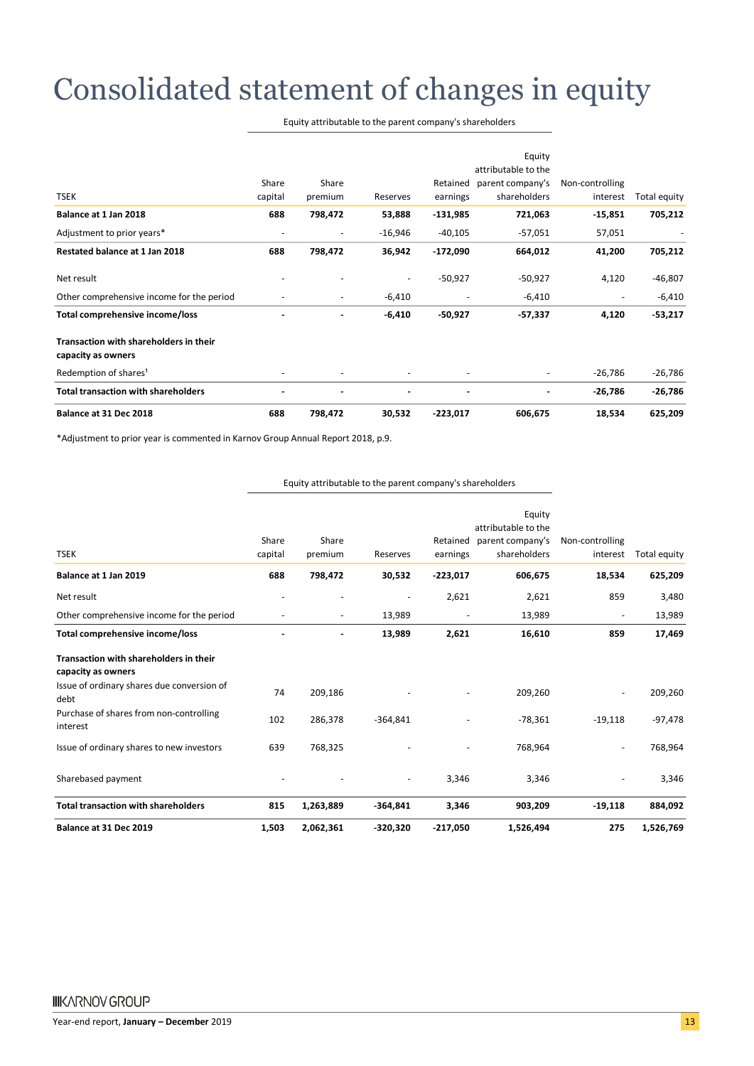## Consolidated statement of changes in equity

| Equity attributable to the parent company's shareholders |  |  |
|----------------------------------------------------------|--|--|
|----------------------------------------------------------|--|--|

| <b>TSEK</b>                                                  | Share<br>capital         | Share<br>premium         | Reserves  | Retained<br>earnings | Equity<br>attributable to the<br>parent company's<br>shareholders | Non-controlling<br>interest | Total equity |
|--------------------------------------------------------------|--------------------------|--------------------------|-----------|----------------------|-------------------------------------------------------------------|-----------------------------|--------------|
| Balance at 1 Jan 2018                                        | 688                      | 798,472                  | 53,888    | -131,985             | 721,063                                                           | $-15,851$                   | 705,212      |
| Adjustment to prior years*                                   | $\overline{\phantom{a}}$ | $\overline{\phantom{a}}$ | $-16,946$ | $-40,105$            | $-57,051$                                                         | 57,051                      |              |
| Restated balance at 1 Jan 2018                               | 688                      | 798,472                  | 36,942    | $-172,090$           | 664,012                                                           | 41,200                      | 705,212      |
| Net result                                                   |                          |                          |           | $-50,927$            | $-50,927$                                                         | 4,120                       | $-46,807$    |
| Other comprehensive income for the period                    |                          | $\overline{\phantom{a}}$ | $-6,410$  |                      | $-6,410$                                                          |                             | $-6,410$     |
| Total comprehensive income/loss                              |                          |                          | $-6,410$  | $-50,927$            | $-57,337$                                                         | 4,120                       | $-53,217$    |
| Transaction with shareholders in their<br>capacity as owners |                          |                          |           |                      |                                                                   |                             |              |
| Redemption of shares <sup>1</sup>                            |                          |                          |           |                      |                                                                   | -26,786                     | $-26,786$    |
| <b>Total transaction with shareholders</b>                   |                          |                          |           |                      |                                                                   | $-26,786$                   | $-26,786$    |
| Balance at 31 Dec 2018                                       | 688                      | 798,472                  | 30,532    | $-223,017$           | 606,675                                                           | 18,534                      | 625,209      |

\*Adjustment to prior year is commented in Karnov Group Annual Report 2018, p.9.

|                                                              |                          |                          |                          |                          | Equity              |                          |              |
|--------------------------------------------------------------|--------------------------|--------------------------|--------------------------|--------------------------|---------------------|--------------------------|--------------|
|                                                              |                          |                          |                          |                          | attributable to the |                          |              |
|                                                              | Share                    | Share                    |                          | Retained                 | parent company's    | Non-controlling          |              |
| <b>TSEK</b>                                                  | capital                  | premium                  | Reserves                 | earnings                 | shareholders        | interest                 | Total equity |
| Balance at 1 Jan 2019                                        | 688                      | 798,472                  | 30,532                   | $-223,017$               | 606,675             | 18,534                   | 625,209      |
| Net result                                                   | $\overline{\phantom{a}}$ | $\overline{\phantom{a}}$ | $\overline{\phantom{a}}$ | 2,621                    | 2,621               | 859                      | 3,480        |
| Other comprehensive income for the period                    | $\overline{\phantom{a}}$ | $\overline{\phantom{a}}$ | 13,989                   | $\overline{\phantom{a}}$ | 13,989              | $\overline{\phantom{a}}$ | 13,989       |
| Total comprehensive income/loss                              | $\blacksquare$           | ۰                        | 13,989                   | 2,621                    | 16,610              | 859                      | 17,469       |
| Transaction with shareholders in their<br>capacity as owners |                          |                          |                          |                          |                     |                          |              |
| Issue of ordinary shares due conversion of<br>debt           | 74                       | 209,186                  |                          |                          | 209,260             |                          | 209,260      |
| Purchase of shares from non-controlling<br>interest          | 102                      | 286,378                  | $-364,841$               |                          | $-78,361$           | $-19,118$                | $-97,478$    |
| Issue of ordinary shares to new investors                    | 639                      | 768,325                  |                          |                          | 768,964             |                          | 768,964      |
| Sharebased payment                                           |                          |                          |                          | 3,346                    | 3,346               |                          | 3,346        |
| <b>Total transaction with shareholders</b>                   | 815                      | 1,263,889                | $-364,841$               | 3,346                    | 903,209             | $-19,118$                | 884,092      |
| Balance at 31 Dec 2019                                       | 1,503                    | 2,062,361                | $-320,320$               | $-217,050$               | 1,526,494           | 275                      | 1,526,769    |

Equity attributable to the parent company's shareholders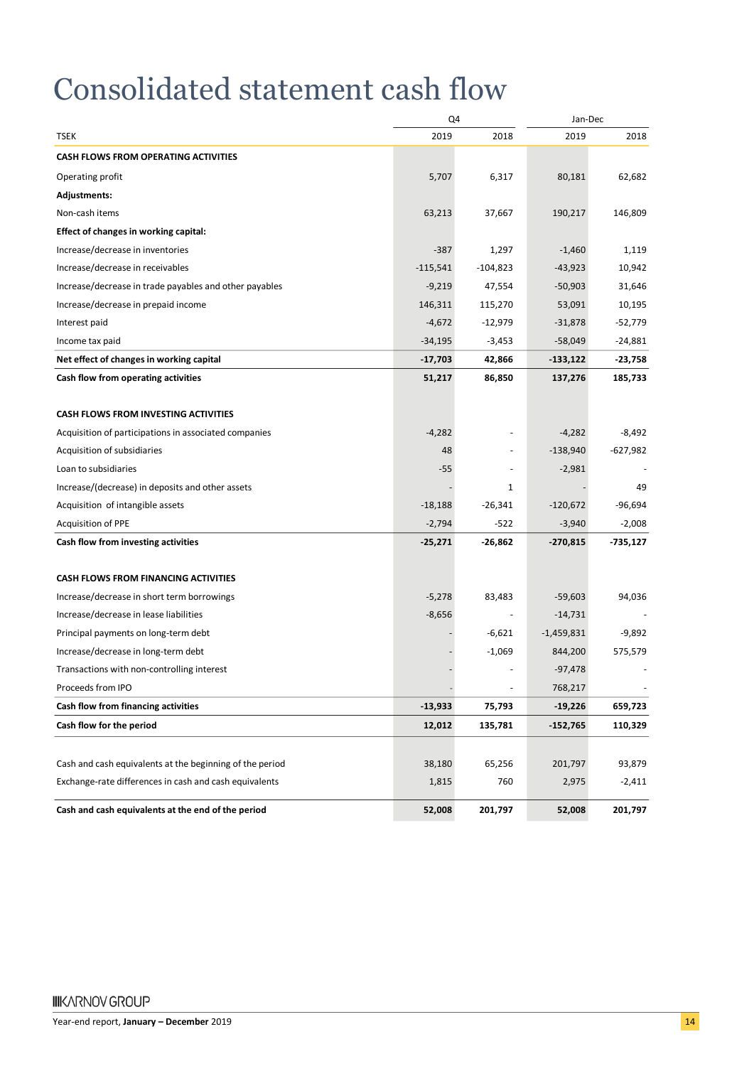## Consolidated statement cash flow

|                                                          | Q4         |                          | Jan-Dec      |            |
|----------------------------------------------------------|------------|--------------------------|--------------|------------|
| <b>TSEK</b>                                              | 2019       | 2018                     | 2019         | 2018       |
| <b>CASH FLOWS FROM OPERATING ACTIVITIES</b>              |            |                          |              |            |
| Operating profit                                         | 5,707      | 6,317                    | 80,181       | 62,682     |
| <b>Adjustments:</b>                                      |            |                          |              |            |
| Non-cash items                                           | 63,213     | 37,667                   | 190,217      | 146,809    |
| Effect of changes in working capital:                    |            |                          |              |            |
| Increase/decrease in inventories                         | $-387$     | 1,297                    | $-1,460$     | 1,119      |
| Increase/decrease in receivables                         | $-115,541$ | $-104,823$               | $-43,923$    | 10,942     |
| Increase/decrease in trade payables and other payables   | $-9,219$   | 47,554                   | $-50,903$    | 31,646     |
| Increase/decrease in prepaid income                      | 146,311    | 115,270                  | 53,091       | 10,195     |
| Interest paid                                            | $-4,672$   | $-12,979$                | $-31,878$    | $-52,779$  |
| Income tax paid                                          | $-34,195$  | $-3,453$                 | $-58,049$    | $-24,881$  |
| Net effect of changes in working capital                 | $-17,703$  | 42,866                   | -133,122     | -23,758    |
| Cash flow from operating activities                      | 51,217     | 86,850                   | 137,276      | 185,733    |
|                                                          |            |                          |              |            |
| <b>CASH FLOWS FROM INVESTING ACTIVITIES</b>              |            |                          |              |            |
| Acquisition of participations in associated companies    | $-4,282$   |                          | $-4,282$     | -8,492     |
| Acquisition of subsidiaries                              | 48         |                          | $-138,940$   | $-627,982$ |
| Loan to subsidiaries                                     | $-55$      | ä,                       | $-2,981$     |            |
| Increase/(decrease) in deposits and other assets         |            | 1                        |              | 49         |
| Acquisition of intangible assets                         | $-18,188$  | $-26,341$                | $-120,672$   | $-96,694$  |
| <b>Acquisition of PPE</b>                                | $-2,794$   | $-522$                   | $-3,940$     | $-2,008$   |
| Cash flow from investing activities                      | $-25,271$  | -26,862                  | -270,815     | -735,127   |
| <b>CASH FLOWS FROM FINANCING ACTIVITIES</b>              |            |                          |              |            |
| Increase/decrease in short term borrowings               | $-5,278$   | 83,483                   | $-59,603$    | 94,036     |
| Increase/decrease in lease liabilities                   | $-8,656$   | $\overline{\phantom{a}}$ | $-14,731$    |            |
| Principal payments on long-term debt                     |            | $-6,621$                 | $-1,459,831$ | -9,892     |
| Increase/decrease in long-term debt                      |            | $-1,069$                 | 844,200      | 575,579    |
| Transactions with non-controlling interest               |            |                          | $-97,478$    |            |
| Proceeds from IPO                                        |            | ÷,                       | 768,217      |            |
| Cash flow from financing activities                      | $-13,933$  | 75,793                   | $-19,226$    | 659,723    |
| Cash flow for the period                                 | 12,012     | 135,781                  | $-152,765$   | 110,329    |
| Cash and cash equivalents at the beginning of the period | 38,180     | 65,256                   | 201,797      | 93,879     |
| Exchange-rate differences in cash and cash equivalents   | 1,815      | 760                      | 2,975        | $-2,411$   |
| Cash and cash equivalents at the end of the period       | 52,008     | 201,797                  | 52,008       | 201,797    |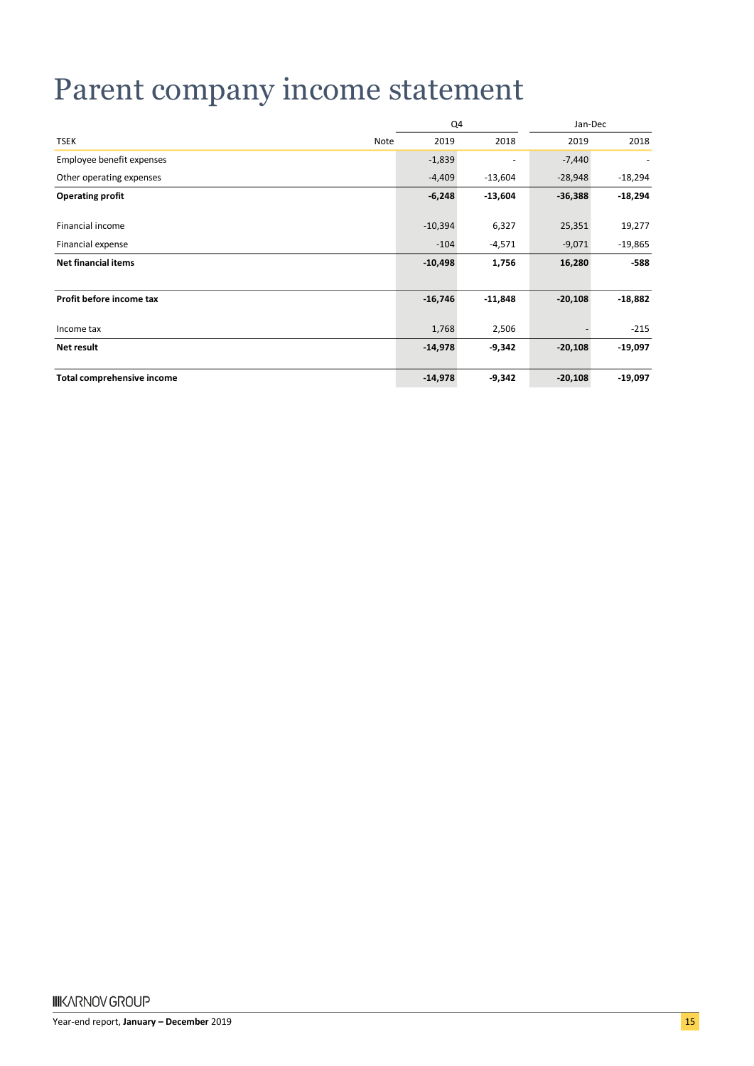## Parent company income statement

|                            |      | Q4        |           | Jan-Dec   |           |
|----------------------------|------|-----------|-----------|-----------|-----------|
| <b>TSEK</b>                | Note | 2019      | 2018      | 2019      | 2018      |
| Employee benefit expenses  |      | $-1,839$  | -         | $-7,440$  |           |
| Other operating expenses   |      | $-4,409$  | $-13,604$ | $-28,948$ | $-18,294$ |
| <b>Operating profit</b>    |      | $-6,248$  | $-13,604$ | $-36,388$ | $-18,294$ |
| Financial income           |      | $-10,394$ | 6,327     | 25,351    | 19,277    |
| Financial expense          |      | $-104$    | $-4,571$  | $-9,071$  | $-19,865$ |
| <b>Net financial items</b> |      | $-10,498$ | 1,756     | 16,280    | $-588$    |
|                            |      |           |           |           |           |
| Profit before income tax   |      | $-16,746$ | $-11,848$ | $-20,108$ | $-18,882$ |
| Income tax                 |      | 1,768     | 2,506     |           | $-215$    |
| Net result                 |      | $-14,978$ | $-9,342$  | $-20,108$ | $-19,097$ |
| Total comprehensive income |      | $-14,978$ | $-9,342$  | $-20,108$ | $-19,097$ |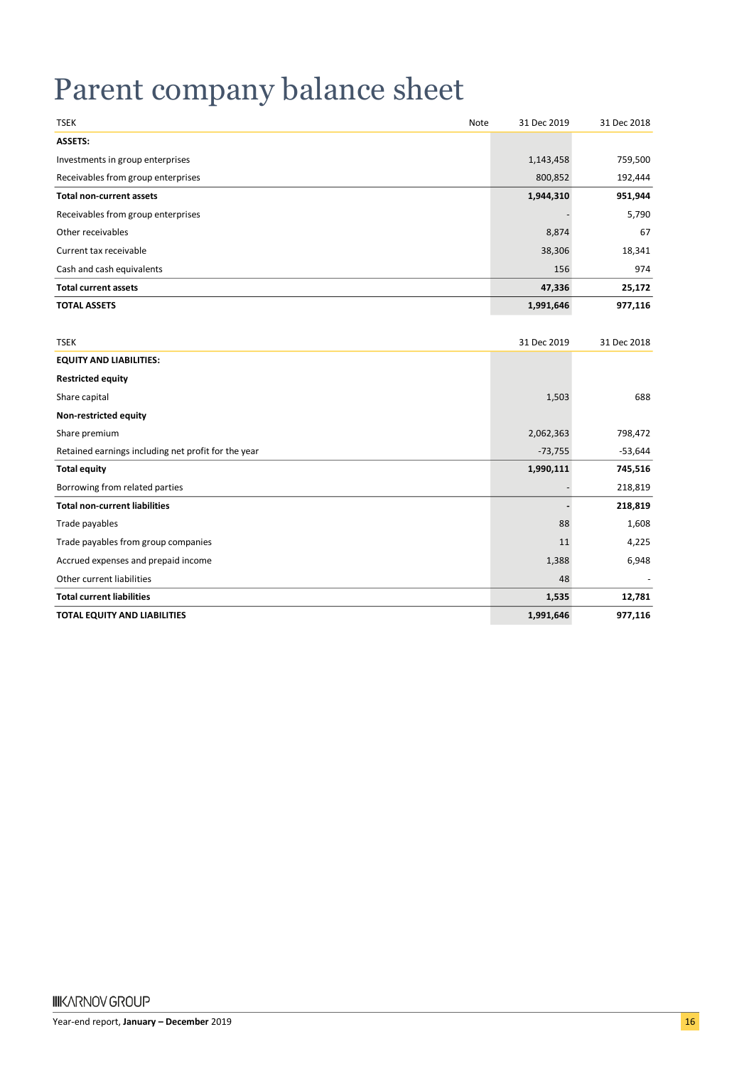## Parent company balance sheet

| <b>TSEK</b><br>Note                                 | 31 Dec 2019 | 31 Dec 2018 |
|-----------------------------------------------------|-------------|-------------|
| <b>ASSETS:</b>                                      |             |             |
| Investments in group enterprises                    | 1,143,458   | 759,500     |
| Receivables from group enterprises                  | 800,852     | 192,444     |
| <b>Total non-current assets</b>                     | 1,944,310   | 951,944     |
| Receivables from group enterprises                  |             | 5,790       |
| Other receivables                                   | 8,874       | 67          |
| Current tax receivable                              | 38,306      | 18,341      |
| Cash and cash equivalents                           | 156         | 974         |
| <b>Total current assets</b>                         | 47,336      | 25,172      |
| <b>TOTAL ASSETS</b>                                 | 1,991,646   | 977,116     |
|                                                     |             |             |
| <b>TSEK</b>                                         | 31 Dec 2019 | 31 Dec 2018 |
| <b>EQUITY AND LIABILITIES:</b>                      |             |             |
| <b>Restricted equity</b>                            |             |             |
| Share capital                                       | 1,503       | 688         |
| Non-restricted equity                               |             |             |
| Share premium                                       | 2,062,363   | 798,472     |
| Retained earnings including net profit for the year | $-73,755$   | $-53,644$   |
| <b>Total equity</b>                                 | 1,990,111   | 745,516     |
| Borrowing from related parties                      |             | 218,819     |
| <b>Total non-current liabilities</b>                |             | 218,819     |
| Trade payables                                      | 88          | 1,608       |
| Trade payables from group companies                 | 11          | 4,225       |
| Accrued expenses and prepaid income                 | 1,388       | 6,948       |
| Other current liabilities                           | 48          |             |
| <b>Total current liabilities</b>                    | 1,535       | 12,781      |
| <b>TOTAL EQUITY AND LIABILITIES</b>                 | 1,991,646   | 977,116     |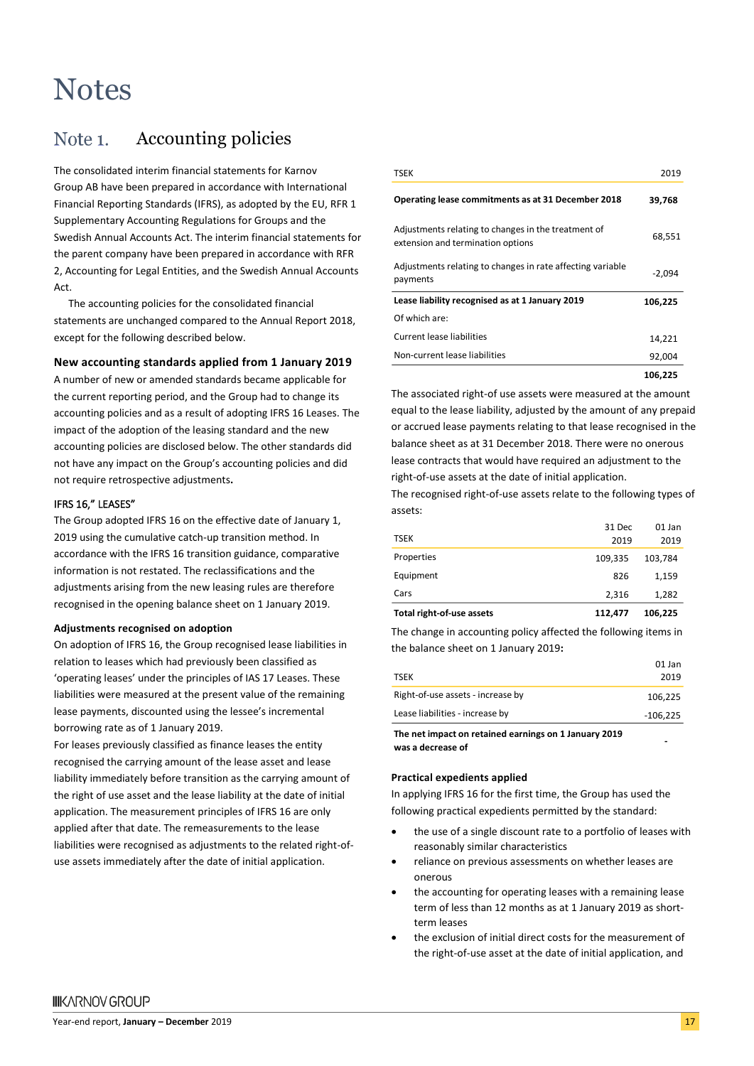### **Notes**

#### Accounting policies Note 1.

The consolidated interim financial statements for Karnov Group AB have been prepared in accordance with International Financial Reporting Standards (IFRS), as adopted by the EU, RFR 1 Supplementary Accounting Regulations for Groups and the Swedish Annual Accounts Act. The interim financial statements for the parent company have been prepared in accordance with RFR 2, Accounting for Legal Entities, and the Swedish Annual Accounts Act.

The accounting policies for the consolidated financial statements are unchanged compared to the Annual Report 2018, except for the following described below.

#### **New accounting standards applied from 1 January 2019**

A number of new or amended standards became applicable for the current reporting period, and the Group had to change its accounting policies and as a result of adopting IFRS 16 Leases. The impact of the adoption of the leasing standard and the new accounting policies are disclosed below. The other standards did not have any impact on the Group's accounting policies and did not require retrospective adjustments**.**

#### IFRS 16," LEASES"

The Group adopted IFRS 16 on the effective date of January 1, 2019 using the cumulative catch-up transition method. In accordance with the IFRS 16 transition guidance, comparative information is not restated. The reclassifications and the adjustments arising from the new leasing rules are therefore recognised in the opening balance sheet on 1 January 2019.

#### **Adjustments recognised on adoption**

On adoption of IFRS 16, the Group recognised lease liabilities in relation to leases which had previously been classified as 'operating leases' under the principles of IAS 17 Leases. These liabilities were measured at the present value of the remaining lease payments, discounted using the lessee's incremental borrowing rate as of 1 January 2019.

For leases previously classified as finance leases the entity recognised the carrying amount of the lease asset and lease liability immediately before transition as the carrying amount of the right of use asset and the lease liability at the date of initial application. The measurement principles of IFRS 16 are only applied after that date. The remeasurements to the lease liabilities were recognised as adjustments to the related right-ofuse assets immediately after the date of initial application.

| <b>TSEK</b>                                                                              | 2019     |
|------------------------------------------------------------------------------------------|----------|
| Operating lease commitments as at 31 December 2018                                       | 39,768   |
| Adjustments relating to changes in the treatment of<br>extension and termination options | 68,551   |
| Adjustments relating to changes in rate affecting variable<br>payments                   | $-2,094$ |
| Lease liability recognised as at 1 January 2019                                          | 106,225  |
| Of which are:                                                                            |          |
| Current lease liabilities                                                                | 14,221   |
| Non-current lease liabilities                                                            | 92,004   |
|                                                                                          | 106,225  |

The associated right-of use assets were measured at the amount equal to the lease liability, adjusted by the amount of any prepaid or accrued lease payments relating to that lease recognised in the balance sheet as at 31 December 2018. There were no onerous lease contracts that would have required an adjustment to the right-of-use assets at the date of initial application.

The recognised right-of-use assets relate to the following types of assets:

| Total right-of-use assets | 112,477 | 106,225 |
|---------------------------|---------|---------|
| Cars                      | 2.316   | 1,282   |
| Equipment                 | 826     | 1,159   |
| Properties                | 109.335 | 103,784 |
| <b>TSEK</b>               | 2019    | 2019    |
|                           | 31 Dec  | 01 Jan  |

The change in accounting policy affected the following items in the balance sheet on 1 January 2019**:**

|                                   | 01 Jan     |
|-----------------------------------|------------|
| TSEK                              | 2019       |
| Right-of-use assets - increase by | 106.225    |
| Lease liabilities - increase by   | $-106.225$ |
|                                   |            |

**The net impact on retained earnings on 1 January 2019 was a decrease of**

#### **Practical expedients applied**

In applying IFRS 16 for the first time, the Group has used the following practical expedients permitted by the standard:

- the use of a single discount rate to a portfolio of leases with reasonably similar characteristics
- reliance on previous assessments on whether leases are onerous
- the accounting for operating leases with a remaining lease term of less than 12 months as at 1 January 2019 as shortterm leases
- the exclusion of initial direct costs for the measurement of the right-of-use asset at the date of initial application, and

 **-**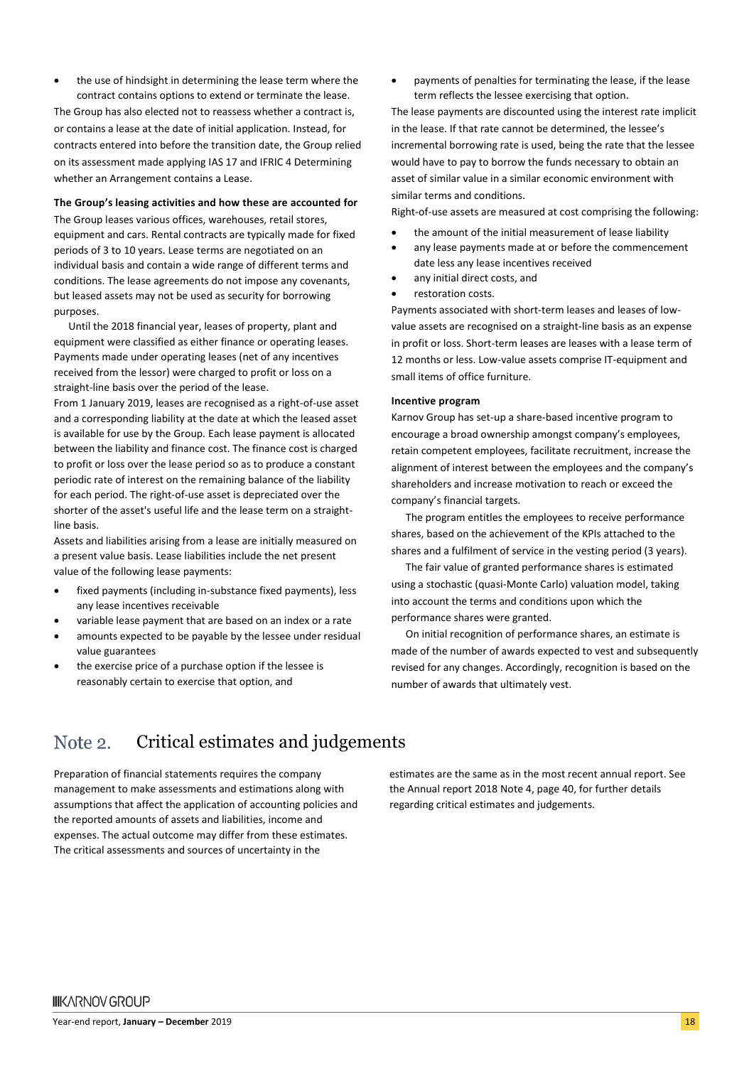**IIIKARNOV GROUP** 

Year-end report, **January – December** 2019 18

estimates are the same as in the most recent annual report. See the Annual report 2018 Note 4, page 40, for further details regarding critical estimates and judgements.

Critical estimates and judgements

- the exercise price of a purchase option if the lessee is
- a present value basis. Lease liabilities include the net present

line basis.

Note 2.

- any lease incentives receivable
- 
- 
- 

Preparation of financial statements requires the company management to make assessments and estimations along with assumptions that affect the application of accounting policies and the reported amounts of assets and liabilities, income and expenses. The actual outcome may differ from these estimates. The critical assessments and sources of uncertainty in the

- fixed payments (including in-substance fixed payments), less
- 
- value guarantees
- reasonably certain to exercise that option, and
- Assets and liabilities arising from a lease are initially measured on value of the following lease payments:
- 
- 
- 
- variable lease payment that are based on an index or a rate amounts expected to be payable by the lessee under residual
- 
- 
- 

purposes. Until the 2018 financial year, leases of property, plant and equipment were classified as either finance or operating leases.

• the use of hindsight in determining the lease term where the contract contains options to extend or terminate the lease. The Group has also elected not to reassess whether a contract is,

Payments made under operating leases (net of any incentives received from the lessor) were charged to profit or loss on a straight-line basis over the period of the lease.

The Group leases various offices, warehouses, retail stores, equipment and cars. Rental contracts are typically made for fixed periods of 3 to 10 years. Lease terms are negotiated on an individual basis and contain a wide range of different terms and conditions. The lease agreements do not impose any covenants, but leased assets may not be used as security for borrowing

- From 1 January 2019, leases are recognised as a right-of-use asset and a corresponding liability at the date at which the leased asset is available for use by the Group. Each lease payment is allocated between the liability and finance cost. The finance cost is charged
- 
- to profit or loss over the lease period so as to produce a constant periodic rate of interest on the remaining balance of the liability
- for each period. The right-of-use asset is depreciated over the shorter of the asset's useful life and the lease term on a straight-

or contains a lease at the date of initial application. Instead, for contracts entered into before the transition date, the Group relied on its assessment made applying IAS 17 and IFRIC 4 Determining whether an Arrangement contains a Lease. **The Group's leasing activities and how these are accounted for** in the lease. If that rate cannot be determined, the lessee's incremental borrowing rate is used, being the rate that the lessee would have to pay to borrow the funds necessary to obtain an asset of similar value in a similar economic environment with similar terms and conditions.

Right-of-use assets are measured at cost comprising the following:

• payments of penalties for terminating the lease, if the lease

The lease payments are discounted using the interest rate implicit

• the amount of the initial measurement of lease liability

term reflects the lessee exercising that option.

- any lease payments made at or before the commencement date less any lease incentives received
- any initial direct costs, and
- restoration costs.

Payments associated with short-term leases and leases of lowvalue assets are recognised on a straight-line basis as an expense in profit or loss. Short-term leases are leases with a lease term of 12 months or less. Low-value assets comprise IT-equipment and small items of office furniture.

#### **Incentive program**

Karnov Group has set-up a share-based incentive program to encourage a broad ownership amongst company's employees, retain competent employees, facilitate recruitment, increase the alignment of interest between the employees and the company's shareholders and increase motivation to reach or exceed the company's financial targets.

The program entitles the employees to receive performance shares, based on the achievement of the KPIs attached to the shares and a fulfilment of service in the vesting period (3 years).

The fair value of granted performance shares is estimated using a stochastic (quasi-Monte Carlo) valuation model, taking into account the terms and conditions upon which the performance shares were granted.

On initial recognition of performance shares, an estimate is made of the number of awards expected to vest and subsequently revised for any changes. Accordingly, recognition is based on the number of awards that ultimately vest.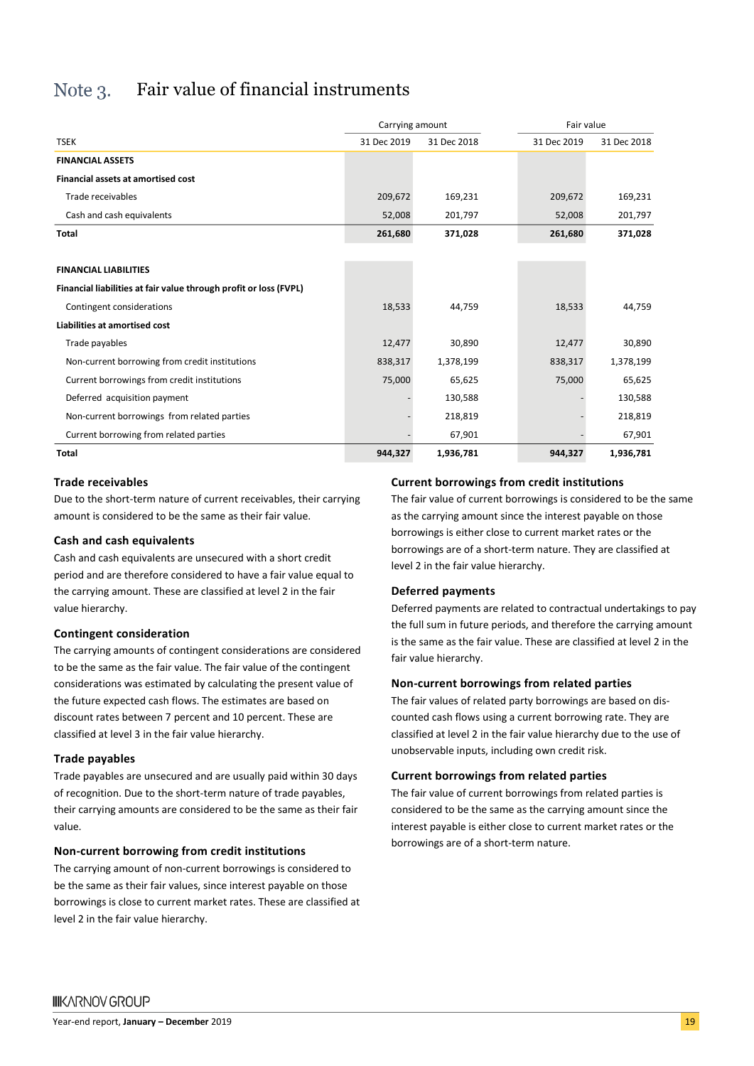#### Fair value of financial instruments Note  $3$ .

|                                                                   | Carrying amount |             | Fair value  |             |  |
|-------------------------------------------------------------------|-----------------|-------------|-------------|-------------|--|
| <b>TSEK</b>                                                       | 31 Dec 2019     | 31 Dec 2018 | 31 Dec 2019 | 31 Dec 2018 |  |
| <b>FINANCIAL ASSETS</b>                                           |                 |             |             |             |  |
| <b>Financial assets at amortised cost</b>                         |                 |             |             |             |  |
| Trade receivables                                                 | 209,672         | 169,231     | 209,672     | 169,231     |  |
| Cash and cash equivalents                                         | 52,008          | 201,797     | 52,008      | 201,797     |  |
| Total                                                             | 261,680         | 371,028     | 261,680     | 371,028     |  |
|                                                                   |                 |             |             |             |  |
| <b>FINANCIAL LIABILITIES</b>                                      |                 |             |             |             |  |
| Financial liabilities at fair value through profit or loss (FVPL) |                 |             |             |             |  |
| Contingent considerations                                         | 18,533          | 44,759      | 18,533      | 44,759      |  |
| Liabilities at amortised cost                                     |                 |             |             |             |  |
| Trade payables                                                    | 12,477          | 30,890      | 12,477      | 30,890      |  |
| Non-current borrowing from credit institutions                    | 838,317         | 1,378,199   | 838,317     | 1,378,199   |  |
| Current borrowings from credit institutions                       | 75,000          | 65,625      | 75,000      | 65,625      |  |
| Deferred acquisition payment                                      |                 | 130,588     |             | 130,588     |  |
| Non-current borrowings from related parties                       |                 | 218,819     |             | 218,819     |  |
| Current borrowing from related parties                            |                 | 67,901      |             | 67,901      |  |
| Total                                                             | 944,327         | 1,936,781   | 944,327     | 1,936,781   |  |

#### **Trade receivables**

Due to the short-term nature of current receivables, their carrying amount is considered to be the same as their fair value.

#### **Cash and cash equivalents**

Cash and cash equivalents are unsecured with a short credit period and are therefore considered to have a fair value equal to the carrying amount. These are classified at level 2 in the fair value hierarchy.

#### **Contingent consideration**

The carrying amounts of contingent considerations are considered to be the same as the fair value. The fair value of the contingent considerations was estimated by calculating the present value of the future expected cash flows. The estimates are based on discount rates between 7 percent and 10 percent. These are classified at level 3 in the fair value hierarchy.

#### **Trade payables**

Trade payables are unsecured and are usually paid within 30 days of recognition. Due to the short-term nature of trade payables, their carrying amounts are considered to be the same as their fair value.

#### **Non-current borrowing from credit institutions**

The carrying amount of non-current borrowings is considered to be the same as their fair values, since interest payable on those borrowings is close to current market rates. These are classified at level 2 in the fair value hierarchy.

#### **Current borrowings from credit institutions**

The fair value of current borrowings is considered to be the same as the carrying amount since the interest payable on those borrowings is either close to current market rates or the borrowings are of a short-term nature. They are classified at level 2 in the fair value hierarchy.

#### **Deferred payments**

Deferred payments are related to contractual undertakings to pay the full sum in future periods, and therefore the carrying amount is the same as the fair value. These are classified at level 2 in the fair value hierarchy.

#### **Non-current borrowings from related parties**

The fair values of related party borrowings are based on discounted cash flows using a current borrowing rate. They are classified at level 2 in the fair value hierarchy due to the use of unobservable inputs, including own credit risk.

#### **Current borrowings from related parties**

The fair value of current borrowings from related parties is considered to be the same as the carrying amount since the interest payable is either close to current market rates or the borrowings are of a short-term nature.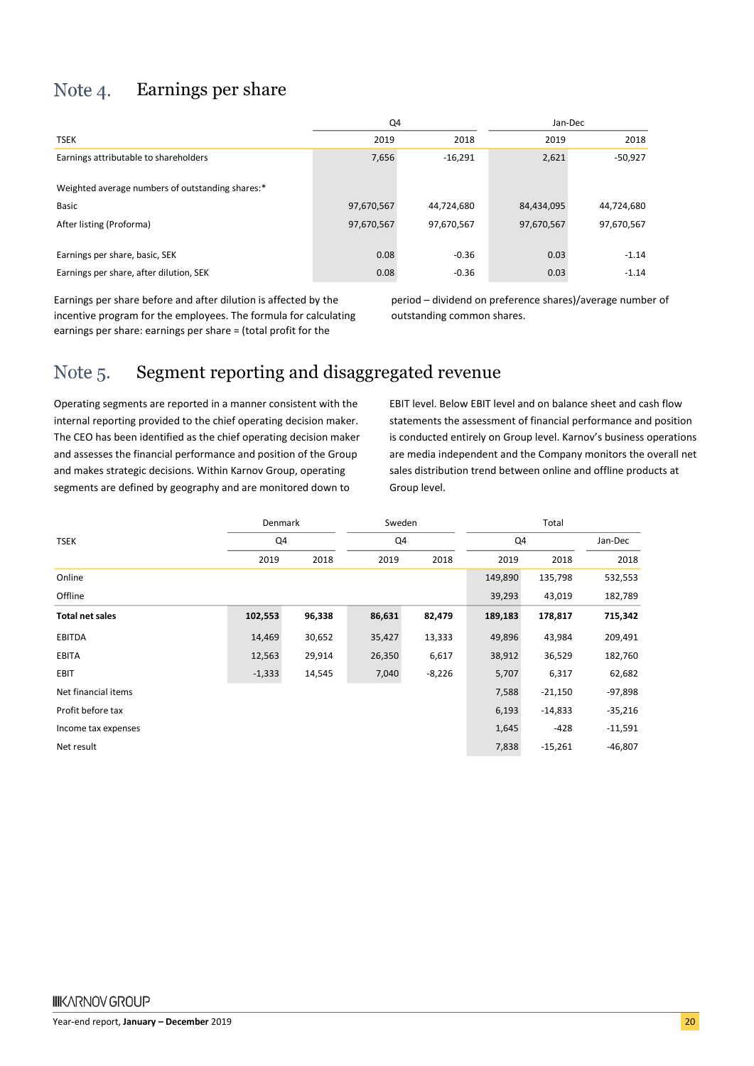#### Note 4. Earnings per share

|                                                  | Q4         |            | Jan-Dec    |            |  |
|--------------------------------------------------|------------|------------|------------|------------|--|
| <b>TSEK</b>                                      | 2019       | 2018       | 2019       | 2018       |  |
| Earnings attributable to shareholders            | 7,656      | $-16,291$  | 2,621      | $-50,927$  |  |
| Weighted average numbers of outstanding shares:* |            |            |            |            |  |
| <b>Basic</b>                                     | 97,670,567 | 44,724,680 | 84,434,095 | 44,724,680 |  |
| After listing (Proforma)                         | 97,670,567 | 97,670,567 | 97,670,567 | 97,670,567 |  |
| Earnings per share, basic, SEK                   | 0.08       | $-0.36$    | 0.03       | $-1.14$    |  |
| Earnings per share, after dilution, SEK          | 0.08       | $-0.36$    | 0.03       | $-1.14$    |  |

Earnings per share before and after dilution is affected by the incentive program for the employees. The formula for calculating earnings per share: earnings per share = (total profit for the

period – dividend on preference shares)/average number of outstanding common shares.

#### Segment reporting and disaggregated revenue Note 5.

Operating segments are reported in a manner consistent with the internal reporting provided to the chief operating decision maker. The CEO has been identified as the chief operating decision maker and assesses the financial performance and position of the Group and makes strategic decisions. Within Karnov Group, operating segments are defined by geography and are monitored down to

EBIT level. Below EBIT level and on balance sheet and cash flow statements the assessment of financial performance and position is conducted entirely on Group level. Karnov's business operations are media independent and the Company monitors the overall net sales distribution trend between online and offline products at Group level.

|                        | Denmark  |        | Sweden |          | Total   |           |           |
|------------------------|----------|--------|--------|----------|---------|-----------|-----------|
| <b>TSEK</b>            | Q4       |        | Q4     |          | Q4      |           | Jan-Dec   |
|                        | 2019     | 2018   | 2019   | 2018     | 2019    | 2018      | 2018      |
| Online                 |          |        |        |          | 149,890 | 135,798   | 532,553   |
| Offline                |          |        |        |          | 39,293  | 43,019    | 182,789   |
| <b>Total net sales</b> | 102,553  | 96,338 | 86,631 | 82,479   | 189,183 | 178,817   | 715,342   |
| <b>EBITDA</b>          | 14,469   | 30,652 | 35,427 | 13,333   | 49,896  | 43,984    | 209,491   |
| EBITA                  | 12,563   | 29,914 | 26,350 | 6,617    | 38,912  | 36,529    | 182,760   |
| <b>EBIT</b>            | $-1,333$ | 14,545 | 7,040  | $-8,226$ | 5,707   | 6,317     | 62,682    |
| Net financial items    |          |        |        |          | 7,588   | $-21,150$ | $-97,898$ |
| Profit before tax      |          |        |        |          | 6,193   | $-14,833$ | $-35,216$ |
| Income tax expenses    |          |        |        |          | 1,645   | $-428$    | $-11,591$ |
| Net result             |          |        |        |          | 7,838   | $-15,261$ | $-46,807$ |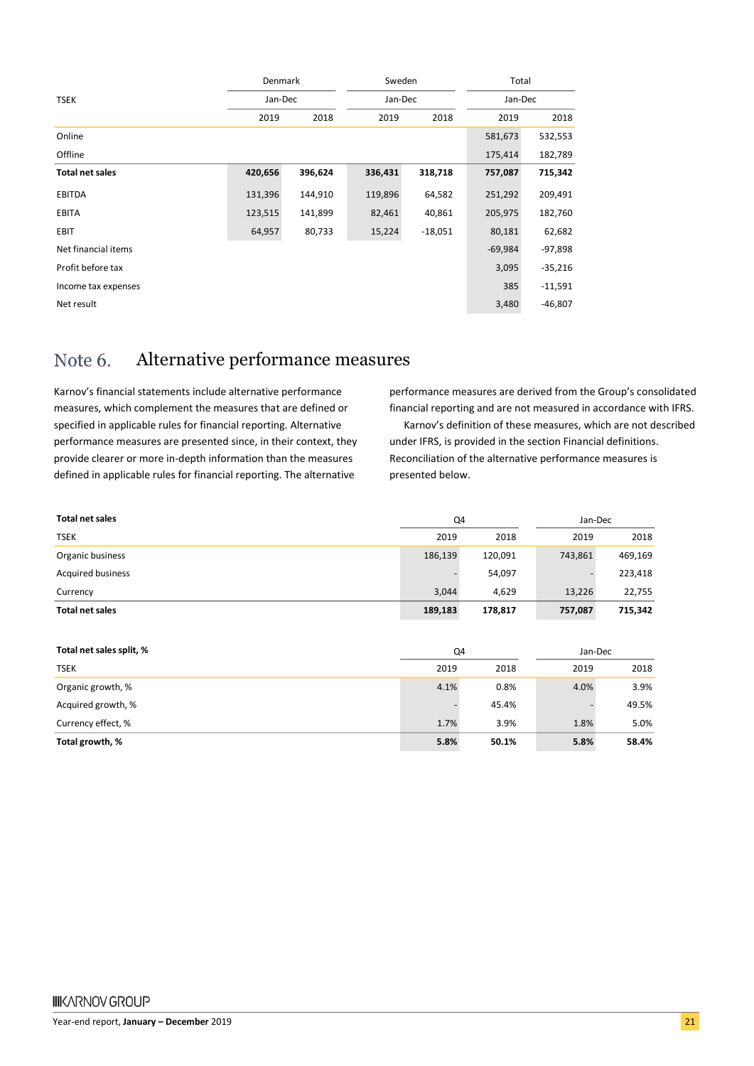| Jan-Dec<br>Jan-Dec<br><b>TSEK</b><br>Jan-Dec<br>2018<br>2019<br>2018<br>2018<br>2019<br>2019<br>Online<br>581,673<br>532,553<br>Offline<br>175,414<br>182,789<br>420,656<br>396,624<br>336,431<br>715,342<br><b>Total net sales</b><br>318,718<br>757,087<br><b>EBITDA</b><br>131,396<br>64,582<br>251,292<br>144,910<br>119,896<br>209,491<br>123,515<br>40,861<br>205,975<br>EBITA<br>141,899<br>82,461<br>182,760<br><b>EBIT</b><br>64,957<br>80,733<br>$-18,051$<br>80,181<br>62,682<br>15,224<br>Net financial items<br>$-69,984$<br>$-97,898$<br>Profit before tax<br>3,095<br>$-35,216$<br>385<br>$-11,591$<br>Income tax expenses<br>Net result<br>3,480<br>$-46,807$ | Denmark |  | Sweden |  | Total |  |  |  |
|-------------------------------------------------------------------------------------------------------------------------------------------------------------------------------------------------------------------------------------------------------------------------------------------------------------------------------------------------------------------------------------------------------------------------------------------------------------------------------------------------------------------------------------------------------------------------------------------------------------------------------------------------------------------------------|---------|--|--------|--|-------|--|--|--|
|                                                                                                                                                                                                                                                                                                                                                                                                                                                                                                                                                                                                                                                                               |         |  |        |  |       |  |  |  |
|                                                                                                                                                                                                                                                                                                                                                                                                                                                                                                                                                                                                                                                                               |         |  |        |  |       |  |  |  |
|                                                                                                                                                                                                                                                                                                                                                                                                                                                                                                                                                                                                                                                                               |         |  |        |  |       |  |  |  |
|                                                                                                                                                                                                                                                                                                                                                                                                                                                                                                                                                                                                                                                                               |         |  |        |  |       |  |  |  |
|                                                                                                                                                                                                                                                                                                                                                                                                                                                                                                                                                                                                                                                                               |         |  |        |  |       |  |  |  |
|                                                                                                                                                                                                                                                                                                                                                                                                                                                                                                                                                                                                                                                                               |         |  |        |  |       |  |  |  |
|                                                                                                                                                                                                                                                                                                                                                                                                                                                                                                                                                                                                                                                                               |         |  |        |  |       |  |  |  |
|                                                                                                                                                                                                                                                                                                                                                                                                                                                                                                                                                                                                                                                                               |         |  |        |  |       |  |  |  |
|                                                                                                                                                                                                                                                                                                                                                                                                                                                                                                                                                                                                                                                                               |         |  |        |  |       |  |  |  |
|                                                                                                                                                                                                                                                                                                                                                                                                                                                                                                                                                                                                                                                                               |         |  |        |  |       |  |  |  |
|                                                                                                                                                                                                                                                                                                                                                                                                                                                                                                                                                                                                                                                                               |         |  |        |  |       |  |  |  |
|                                                                                                                                                                                                                                                                                                                                                                                                                                                                                                                                                                                                                                                                               |         |  |        |  |       |  |  |  |

#### Alternative performance measures Note 6.

Karnov's financial statements include alternative performance measures, which complement the measures that are defined or specified in applicable rules for financial reporting. Alternative performance measures are presented since, in their context, they provide clearer or more in-depth information than the measures defined in applicable rules for financial reporting. The alternative

performance measures are derived from the Group's consolidated financial reporting and are not measured in accordance with IFRS. Karnov's definition of these measures, which are not described

under IFRS, is provided in the section Financial definitions. Reconciliation of the alternative performance measures is presented below.

| <b>Total net sales</b>   | Q4      |         | Jan-Dec |         |
|--------------------------|---------|---------|---------|---------|
| <b>TSEK</b>              | 2019    | 2018    | 2019    | 2018    |
| Organic business         | 186,139 | 120,091 | 743,861 | 469,169 |
| <b>Acquired business</b> |         | 54,097  |         | 223,418 |
| Currency                 | 3.044   | 4.629   | 13,226  | 22,755  |
| <b>Total net sales</b>   | 189,183 | 178,817 | 757,087 | 715,342 |

| Total net sales split, % | Q4   |       | Jan-Dec |       |
|--------------------------|------|-------|---------|-------|
| <b>TSEK</b>              | 2019 | 2018  | 2019    | 2018  |
| Organic growth, %        | 4.1% | 0.8%  | 4.0%    | 3.9%  |
| Acquired growth, %       |      | 45.4% |         | 49.5% |
| Currency effect, %       | 1.7% | 3.9%  | 1.8%    | 5.0%  |
| Total growth, %          | 5.8% | 50.1% | 5.8%    | 58.4% |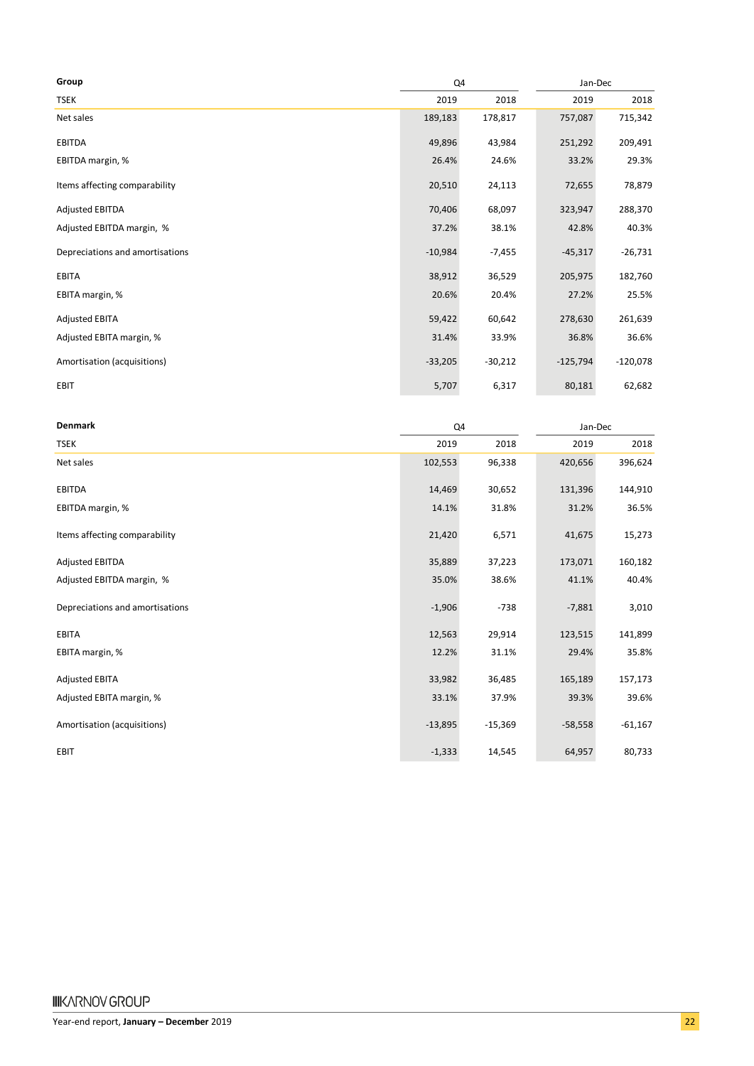| Group                           | Q4        |           | Jan-Dec    |            |
|---------------------------------|-----------|-----------|------------|------------|
| <b>TSEK</b>                     | 2019      | 2018      | 2019       | 2018       |
| Net sales                       | 189,183   | 178,817   | 757,087    | 715,342    |
| EBITDA                          | 49,896    | 43,984    | 251,292    | 209,491    |
| EBITDA margin, %                | 26.4%     | 24.6%     | 33.2%      | 29.3%      |
| Items affecting comparability   | 20,510    | 24,113    | 72,655     | 78,879     |
| <b>Adjusted EBITDA</b>          | 70,406    | 68,097    | 323,947    | 288,370    |
| Adjusted EBITDA margin, %       | 37.2%     | 38.1%     | 42.8%      | 40.3%      |
| Depreciations and amortisations | $-10,984$ | $-7,455$  | $-45,317$  | $-26,731$  |
| EBITA                           | 38,912    | 36,529    | 205,975    | 182,760    |
| EBITA margin, %                 | 20.6%     | 20.4%     | 27.2%      | 25.5%      |
| <b>Adjusted EBITA</b>           | 59,422    | 60,642    | 278,630    | 261,639    |
| Adjusted EBITA margin, %        | 31.4%     | 33.9%     | 36.8%      | 36.6%      |
| Amortisation (acquisitions)     | $-33,205$ | $-30,212$ | $-125,794$ | $-120,078$ |
| EBIT                            | 5,707     | 6,317     | 80,181     | 62,682     |

| <b>Denmark</b>                  | Q4        |           | Jan-Dec   |           |
|---------------------------------|-----------|-----------|-----------|-----------|
| <b>TSEK</b>                     | 2019      | 2018      | 2019      | 2018      |
| Net sales                       | 102,553   | 96,338    | 420,656   | 396,624   |
| <b>EBITDA</b>                   | 14,469    | 30,652    | 131,396   | 144,910   |
| EBITDA margin, %                | 14.1%     | 31.8%     | 31.2%     | 36.5%     |
| Items affecting comparability   | 21,420    | 6,571     | 41,675    | 15,273    |
| <b>Adjusted EBITDA</b>          | 35,889    | 37,223    | 173,071   | 160,182   |
| Adjusted EBITDA margin, %       | 35.0%     | 38.6%     | 41.1%     | 40.4%     |
| Depreciations and amortisations | $-1,906$  | $-738$    | $-7,881$  | 3,010     |
| EBITA                           | 12,563    | 29,914    | 123,515   | 141,899   |
| EBITA margin, %                 | 12.2%     | 31.1%     | 29.4%     | 35.8%     |
| <b>Adjusted EBITA</b>           | 33,982    | 36,485    | 165,189   | 157,173   |
| Adjusted EBITA margin, %        | 33.1%     | 37.9%     | 39.3%     | 39.6%     |
| Amortisation (acquisitions)     | $-13,895$ | $-15,369$ | $-58,558$ | $-61,167$ |
| EBIT                            | $-1,333$  | 14,545    | 64,957    | 80,733    |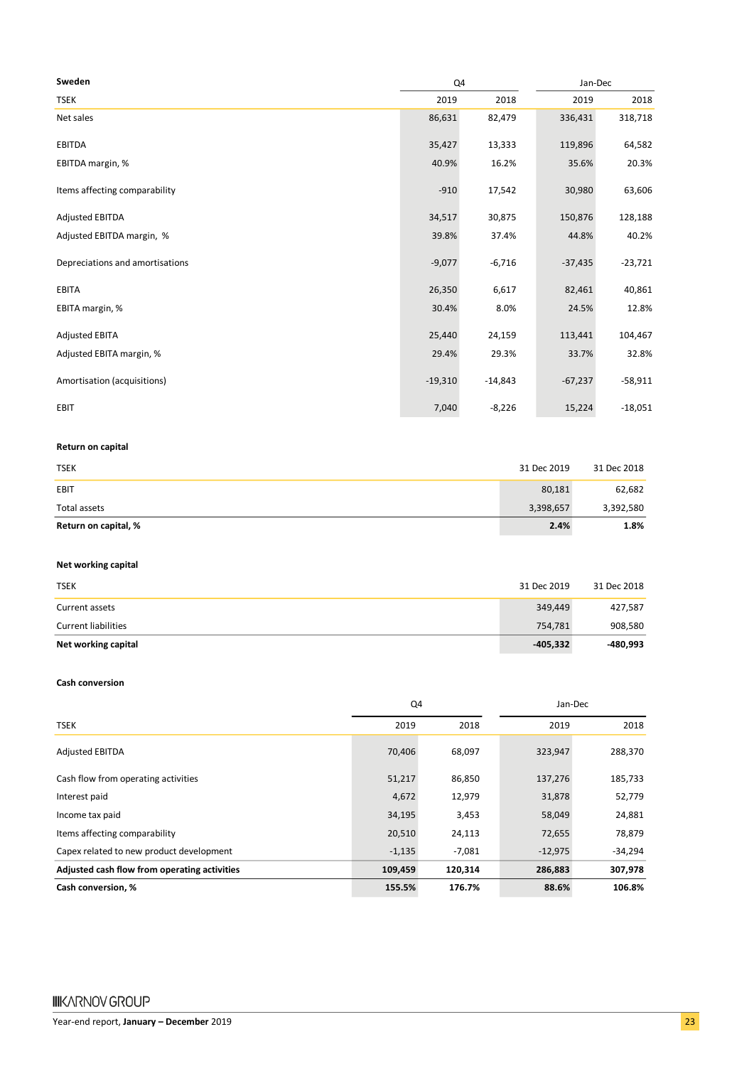| Sweden                          | Q4        |           | Jan-Dec   |           |  |
|---------------------------------|-----------|-----------|-----------|-----------|--|
| <b>TSEK</b>                     | 2019      | 2018      | 2019      | 2018      |  |
| Net sales                       | 86,631    | 82,479    | 336,431   | 318,718   |  |
| <b>EBITDA</b>                   | 35,427    | 13,333    | 119,896   | 64,582    |  |
| EBITDA margin, %                | 40.9%     | 16.2%     | 35.6%     | 20.3%     |  |
| Items affecting comparability   | $-910$    | 17,542    | 30,980    | 63,606    |  |
| <b>Adjusted EBITDA</b>          | 34,517    | 30,875    | 150,876   | 128,188   |  |
| Adjusted EBITDA margin, %       | 39.8%     | 37.4%     | 44.8%     | 40.2%     |  |
| Depreciations and amortisations | $-9,077$  | $-6,716$  | $-37,435$ | $-23,721$ |  |
| <b>EBITA</b>                    | 26,350    | 6,617     | 82,461    | 40,861    |  |
| EBITA margin, %                 | 30.4%     | 8.0%      | 24.5%     | 12.8%     |  |
| <b>Adjusted EBITA</b>           | 25,440    | 24,159    | 113,441   | 104,467   |  |
| Adjusted EBITA margin, %        | 29.4%     | 29.3%     | 33.7%     | 32.8%     |  |
| Amortisation (acquisitions)     | $-19,310$ | $-14,843$ | $-67,237$ | $-58,911$ |  |
| EBIT                            | 7,040     | $-8,226$  | 15,224    | $-18,051$ |  |

#### **Return on capital**

| <b>TSEK</b>          | 31 Dec 2019 | 31 Dec 2018 |
|----------------------|-------------|-------------|
| EBIT                 | 80,181      | 62,682      |
| Total assets         | 3,398,657   | 3,392,580   |
| Return on capital, % | 2.4%        | 1.8%        |

#### **Net working capital**

| <b>TSEK</b>                | 31 Dec 2019 | 31 Dec 2018 |
|----------------------------|-------------|-------------|
| Current assets             | 349,449     | 427,587     |
| <b>Current liabilities</b> | 754.781     | 908,580     |
| Net working capital        | -405,332    | -480,993    |

#### **Cash conversion**

|                                              | Q4       |          | Jan-Dec   |           |
|----------------------------------------------|----------|----------|-----------|-----------|
| <b>TSEK</b>                                  | 2019     | 2018     | 2019      | 2018      |
| <b>Adjusted EBITDA</b>                       | 70,406   | 68,097   | 323,947   | 288,370   |
| Cash flow from operating activities          | 51,217   | 86,850   | 137,276   | 185,733   |
| Interest paid                                | 4,672    | 12,979   | 31,878    | 52,779    |
| Income tax paid                              | 34,195   | 3,453    | 58,049    | 24,881    |
| Items affecting comparability                | 20,510   | 24,113   | 72,655    | 78,879    |
| Capex related to new product development     | $-1,135$ | $-7,081$ | $-12,975$ | $-34,294$ |
| Adjusted cash flow from operating activities | 109,459  | 120,314  | 286,883   | 307,978   |
| Cash conversion, %                           | 155.5%   | 176.7%   | 88.6%     | 106.8%    |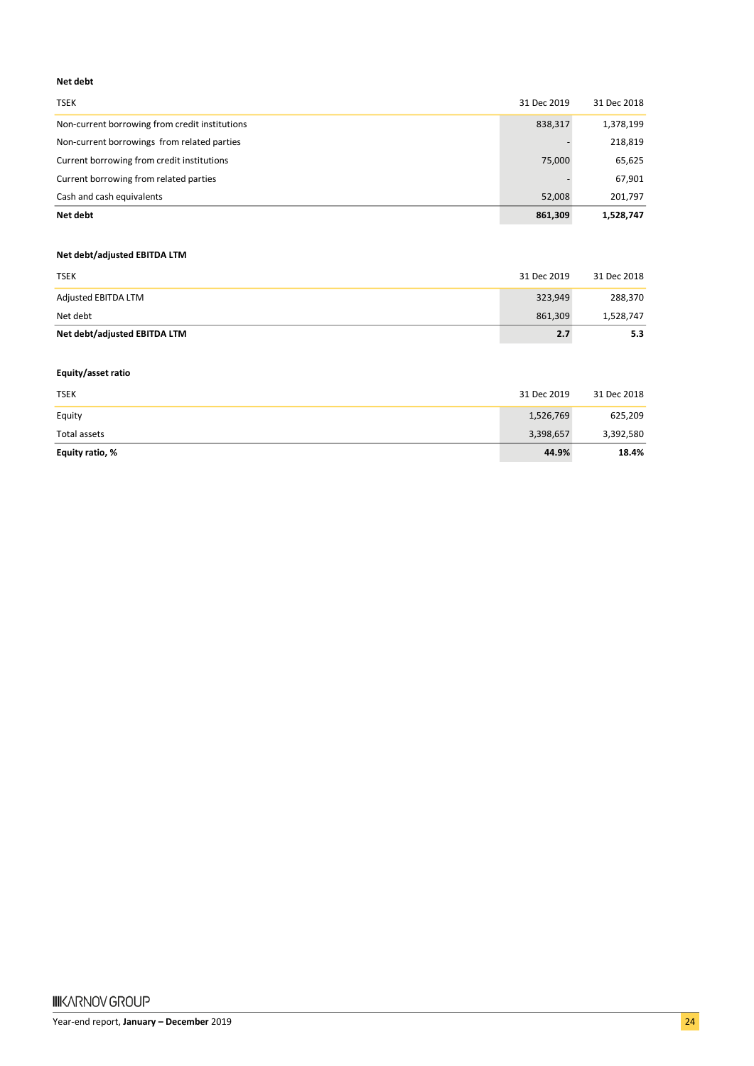#### **Net debt**

| Net debt                                       | 861.309     | 1.528.747   |
|------------------------------------------------|-------------|-------------|
| Cash and cash equivalents                      | 52.008      | 201,797     |
| Current borrowing from related parties         |             | 67,901      |
| Current borrowing from credit institutions     | 75,000      | 65,625      |
| Non-current borrowings from related parties    |             | 218,819     |
| Non-current borrowing from credit institutions | 838,317     | 1,378,199   |
| <b>TSEK</b>                                    | 31 Dec 2019 | 31 Dec 2018 |

#### **Net debt/adjusted EBITDA LTM**

| <b>TSEK</b>                  | 31 Dec 2019 | 31 Dec 2018 |
|------------------------------|-------------|-------------|
| Adjusted EBITDA LTM          | 323,949     | 288,370     |
| Net debt                     | 861.309     | 1,528,747   |
| Net debt/adjusted EBITDA LTM | 2.7         | 5.3         |

#### **Equity/asset ratio**

| <b>TSEK</b>     | 31 Dec 2019 | 31 Dec 2018 |
|-----------------|-------------|-------------|
| Equity          | 1,526,769   | 625,209     |
| Total assets    | 3,398,657   | 3,392,580   |
| Equity ratio, % | 44.9%       | 18.4%       |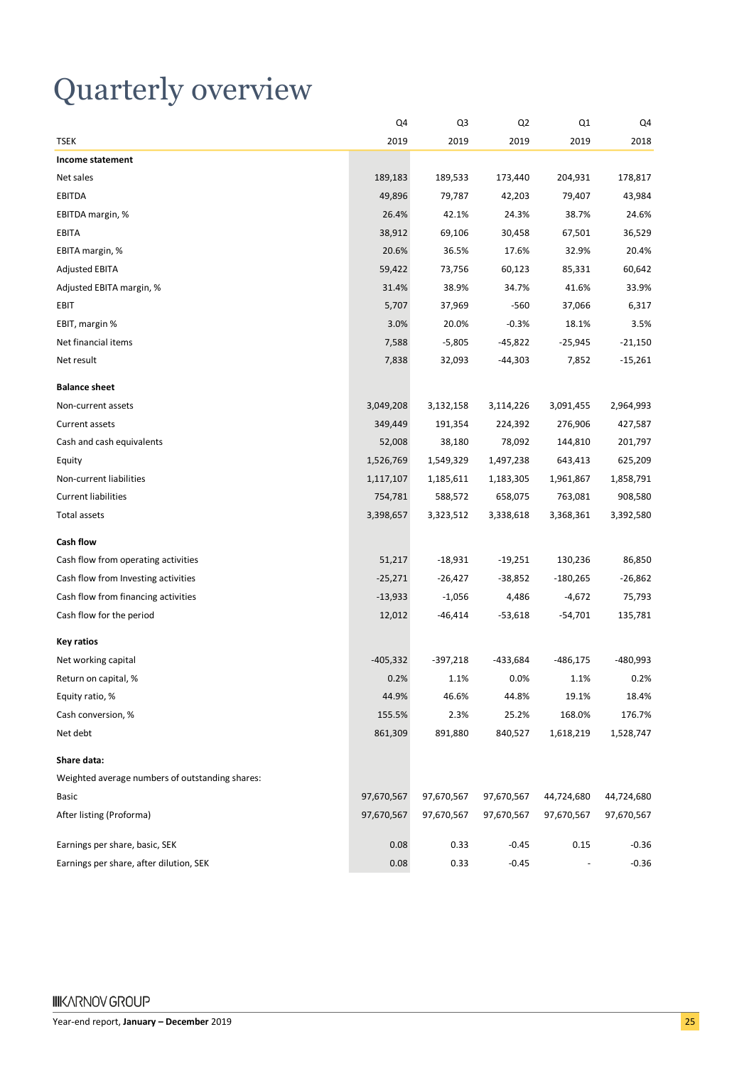## Quarterly overview

|                                                 | Q4         | Q3         | Q2         | Q1         | Q4         |
|-------------------------------------------------|------------|------------|------------|------------|------------|
| <b>TSEK</b>                                     | 2019       | 2019       | 2019       | 2019       | 2018       |
| Income statement                                |            |            |            |            |            |
| Net sales                                       | 189,183    | 189,533    | 173,440    | 204,931    | 178,817    |
| <b>EBITDA</b>                                   | 49,896     | 79,787     | 42,203     | 79,407     | 43,984     |
| EBITDA margin, %                                | 26.4%      | 42.1%      | 24.3%      | 38.7%      | 24.6%      |
| EBITA                                           | 38,912     | 69,106     | 30,458     | 67,501     | 36,529     |
| EBITA margin, %                                 | 20.6%      | 36.5%      | 17.6%      | 32.9%      | 20.4%      |
| <b>Adjusted EBITA</b>                           | 59,422     | 73,756     | 60,123     | 85,331     | 60,642     |
| Adjusted EBITA margin, %                        | 31.4%      | 38.9%      | 34.7%      | 41.6%      | 33.9%      |
| EBIT                                            | 5,707      | 37,969     | $-560$     | 37,066     | 6,317      |
| EBIT, margin %                                  | 3.0%       | 20.0%      | $-0.3%$    | 18.1%      | 3.5%       |
| Net financial items                             | 7,588      | $-5,805$   | $-45,822$  | $-25,945$  | $-21,150$  |
| Net result                                      | 7,838      | 32,093     | $-44,303$  | 7,852      | $-15,261$  |
| <b>Balance sheet</b>                            |            |            |            |            |            |
| Non-current assets                              | 3,049,208  | 3,132,158  | 3,114,226  | 3,091,455  | 2,964,993  |
| Current assets                                  | 349,449    | 191,354    | 224,392    | 276,906    | 427,587    |
| Cash and cash equivalents                       | 52,008     | 38,180     | 78,092     | 144,810    | 201,797    |
| Equity                                          | 1,526,769  | 1,549,329  | 1,497,238  | 643,413    | 625,209    |
| Non-current liabilities                         | 1,117,107  | 1,185,611  | 1,183,305  | 1,961,867  | 1,858,791  |
| <b>Current liabilities</b>                      | 754,781    | 588,572    | 658,075    | 763,081    | 908,580    |
| <b>Total assets</b>                             | 3,398,657  | 3,323,512  | 3,338,618  | 3,368,361  | 3,392,580  |
| Cash flow                                       |            |            |            |            |            |
| Cash flow from operating activities             | 51,217     | $-18,931$  | $-19,251$  | 130,236    | 86,850     |
| Cash flow from Investing activities             | $-25,271$  | $-26,427$  | $-38,852$  | $-180,265$ | $-26,862$  |
| Cash flow from financing activities             | $-13,933$  | $-1,056$   | 4,486      | $-4,672$   | 75,793     |
| Cash flow for the period                        | 12,012     | $-46,414$  | $-53,618$  | $-54,701$  | 135,781    |
| <b>Key ratios</b>                               |            |            |            |            |            |
| Net working capital                             | $-405,332$ | $-397,218$ | $-433,684$ | $-486,175$ | -480,993   |
| Return on capital, %                            | 0.2%       | 1.1%       | 0.0%       | 1.1%       | 0.2%       |
| Equity ratio, %                                 | 44.9%      | 46.6%      | 44.8%      | 19.1%      | 18.4%      |
| Cash conversion, %                              | 155.5%     | 2.3%       | 25.2%      | 168.0%     | 176.7%     |
| Net debt                                        | 861,309    | 891,880    | 840,527    | 1,618,219  | 1,528,747  |
| Share data:                                     |            |            |            |            |            |
| Weighted average numbers of outstanding shares: |            |            |            |            |            |
| <b>Basic</b>                                    | 97,670,567 | 97,670,567 | 97,670,567 | 44,724,680 | 44,724,680 |
| After listing (Proforma)                        | 97,670,567 | 97,670,567 | 97,670,567 | 97,670,567 | 97,670,567 |
| Earnings per share, basic, SEK                  | 0.08       | 0.33       | $-0.45$    | 0.15       | $-0.36$    |
| Earnings per share, after dilution, SEK         | 0.08       | 0.33       | $-0.45$    |            | $-0.36$    |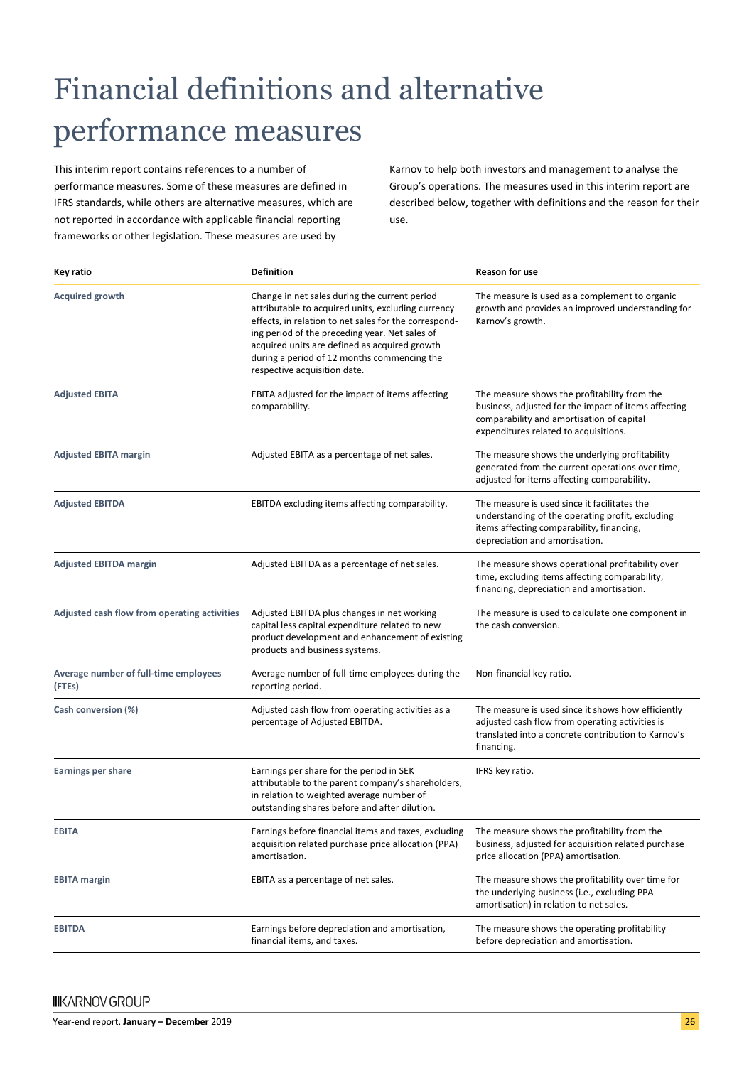# Financial definitions and alternative performance measures

This interim report contains references to a number of performance measures. Some of these measures are defined in IFRS standards, while others are alternative measures, which are not reported in accordance with applicable financial reporting frameworks or other legislation. These measures are used by

Karnov to help both investors and management to analyse the Group's operations. The measures used in this interim report are described below, together with definitions and the reason for their use.

| Key ratio                                       | <b>Definition</b>                                                                                                                                                                                                                                                                                                                              | <b>Reason for use</b>                                                                                                                                                                      |  |  |
|-------------------------------------------------|------------------------------------------------------------------------------------------------------------------------------------------------------------------------------------------------------------------------------------------------------------------------------------------------------------------------------------------------|--------------------------------------------------------------------------------------------------------------------------------------------------------------------------------------------|--|--|
| <b>Acquired growth</b>                          | Change in net sales during the current period<br>attributable to acquired units, excluding currency<br>effects, in relation to net sales for the correspond-<br>ing period of the preceding year. Net sales of<br>acquired units are defined as acquired growth<br>during a period of 12 months commencing the<br>respective acquisition date. | The measure is used as a complement to organic<br>growth and provides an improved understanding for<br>Karnov's growth.                                                                    |  |  |
| <b>Adjusted EBITA</b>                           | EBITA adjusted for the impact of items affecting<br>comparability.                                                                                                                                                                                                                                                                             | The measure shows the profitability from the<br>business, adjusted for the impact of items affecting<br>comparability and amortisation of capital<br>expenditures related to acquisitions. |  |  |
| <b>Adjusted EBITA margin</b>                    | Adjusted EBITA as a percentage of net sales.                                                                                                                                                                                                                                                                                                   | The measure shows the underlying profitability<br>generated from the current operations over time,<br>adjusted for items affecting comparability.                                          |  |  |
| <b>Adjusted EBITDA</b>                          | EBITDA excluding items affecting comparability.                                                                                                                                                                                                                                                                                                | The measure is used since it facilitates the<br>understanding of the operating profit, excluding<br>items affecting comparability, financing,<br>depreciation and amortisation.            |  |  |
| <b>Adjusted EBITDA margin</b>                   | Adjusted EBITDA as a percentage of net sales.                                                                                                                                                                                                                                                                                                  | The measure shows operational profitability over<br>time, excluding items affecting comparability,<br>financing, depreciation and amortisation.                                            |  |  |
| Adjusted cash flow from operating activities    | Adjusted EBITDA plus changes in net working<br>capital less capital expenditure related to new<br>product development and enhancement of existing<br>products and business systems.                                                                                                                                                            | The measure is used to calculate one component in<br>the cash conversion.                                                                                                                  |  |  |
| Average number of full-time employees<br>(FTEs) | Average number of full-time employees during the<br>reporting period.                                                                                                                                                                                                                                                                          | Non-financial key ratio.                                                                                                                                                                   |  |  |
| Cash conversion (%)                             | Adjusted cash flow from operating activities as a<br>percentage of Adjusted EBITDA.                                                                                                                                                                                                                                                            | The measure is used since it shows how efficiently<br>adjusted cash flow from operating activities is<br>translated into a concrete contribution to Karnov's<br>financing.                 |  |  |
| <b>Earnings per share</b>                       | Earnings per share for the period in SEK<br>attributable to the parent company's shareholders,<br>in relation to weighted average number of<br>outstanding shares before and after dilution.                                                                                                                                                   | IFRS key ratio.                                                                                                                                                                            |  |  |
| EBIJA                                           | Earnings before financial items and taxes, excluding<br>acquisition related purchase price allocation (PPA)<br>amortisation.                                                                                                                                                                                                                   | The measure shows the profitability from the<br>business, adjusted for acquisition related purchase<br>price allocation (PPA) amortisation.                                                |  |  |
| <b>EBITA</b> margin                             | EBITA as a percentage of net sales.                                                                                                                                                                                                                                                                                                            | The measure shows the profitability over time for<br>the underlying business (i.e., excluding PPA<br>amortisation) in relation to net sales.                                               |  |  |
| <b>EBITDA</b>                                   | Earnings before depreciation and amortisation,<br>financial items, and taxes.                                                                                                                                                                                                                                                                  | The measure shows the operating profitability<br>before depreciation and amortisation.                                                                                                     |  |  |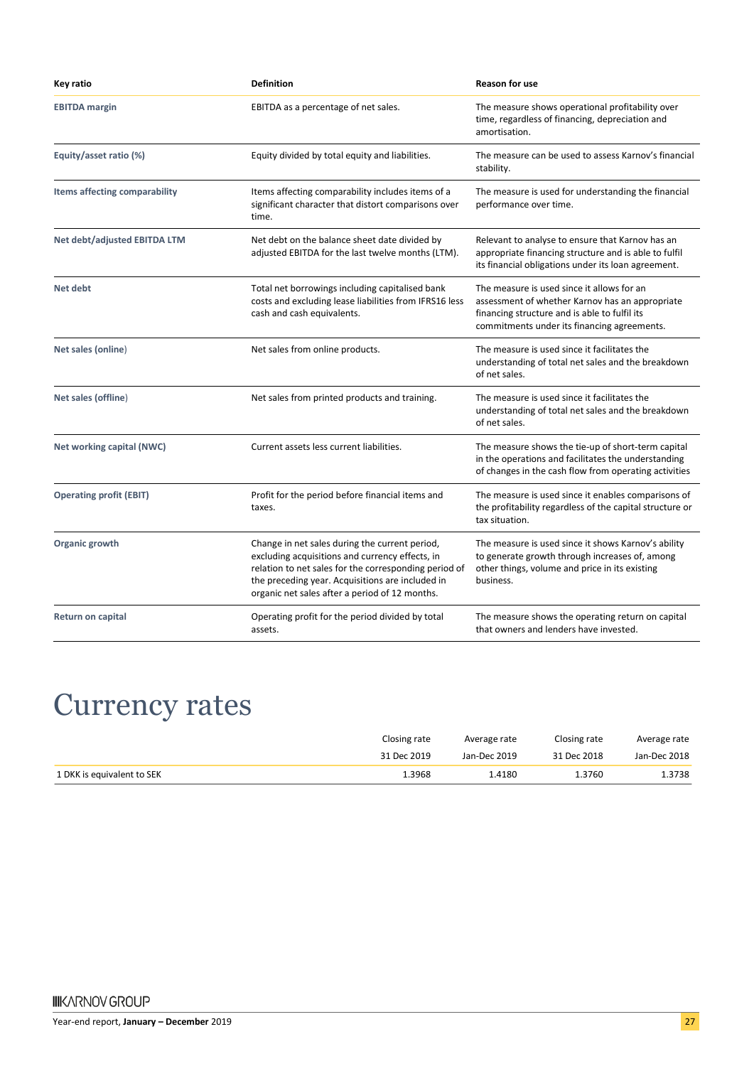| Key ratio                      | <b>Definition</b>                                                                                                                                                                                                                                                | <b>Reason for use</b>                                                                                                                                                                         |  |
|--------------------------------|------------------------------------------------------------------------------------------------------------------------------------------------------------------------------------------------------------------------------------------------------------------|-----------------------------------------------------------------------------------------------------------------------------------------------------------------------------------------------|--|
| <b>EBITDA</b> margin           | EBITDA as a percentage of net sales.                                                                                                                                                                                                                             | The measure shows operational profitability over<br>time, regardless of financing, depreciation and<br>amortisation.                                                                          |  |
| Equity/asset ratio (%)         | Equity divided by total equity and liabilities.                                                                                                                                                                                                                  | The measure can be used to assess Karnov's financial<br>stability.                                                                                                                            |  |
| Items affecting comparability  | Items affecting comparability includes items of a<br>significant character that distort comparisons over<br>time.                                                                                                                                                | The measure is used for understanding the financial<br>performance over time.                                                                                                                 |  |
| Net debt/adjusted EBITDA LTM   | Net debt on the balance sheet date divided by<br>adjusted EBITDA for the last twelve months (LTM).                                                                                                                                                               | Relevant to analyse to ensure that Karnov has an<br>appropriate financing structure and is able to fulfil<br>its financial obligations under its loan agreement.                              |  |
| Net debt                       | Total net borrowings including capitalised bank<br>costs and excluding lease liabilities from IFRS16 less<br>cash and cash equivalents.                                                                                                                          | The measure is used since it allows for an<br>assessment of whether Karnov has an appropriate<br>financing structure and is able to fulfil its<br>commitments under its financing agreements. |  |
| Net sales (online)             | Net sales from online products.                                                                                                                                                                                                                                  | The measure is used since it facilitates the<br>understanding of total net sales and the breakdown<br>of net sales.                                                                           |  |
| Net sales (offline)            | Net sales from printed products and training.                                                                                                                                                                                                                    | The measure is used since it facilitates the<br>understanding of total net sales and the breakdown<br>of net sales.                                                                           |  |
| Net working capital (NWC)      | Current assets less current liabilities.                                                                                                                                                                                                                         | The measure shows the tie-up of short-term capital<br>in the operations and facilitates the understanding<br>of changes in the cash flow from operating activities                            |  |
| <b>Operating profit (EBIT)</b> | Profit for the period before financial items and<br>taxes.                                                                                                                                                                                                       | The measure is used since it enables comparisons of<br>the profitability regardless of the capital structure or<br>tax situation.                                                             |  |
| Organic growth                 | Change in net sales during the current period,<br>excluding acquisitions and currency effects, in<br>relation to net sales for the corresponding period of<br>the preceding year. Acquisitions are included in<br>organic net sales after a period of 12 months. | The measure is used since it shows Karnov's ability<br>to generate growth through increases of, among<br>other things, volume and price in its existing<br>business.                          |  |
| <b>Return on capital</b>       | Operating profit for the period divided by total<br>assets.                                                                                                                                                                                                      | The measure shows the operating return on capital<br>that owners and lenders have invested.                                                                                                   |  |

## Currency rates

|                            | Closing rate | Average rate | Closing rate | Average rate |
|----------------------------|--------------|--------------|--------------|--------------|
|                            | 31 Dec 2019  | Jan-Dec 2019 | 31 Dec 2018  | Jan-Dec 2018 |
| 1 DKK is equivalent to SEK | 1.3968       | 1.4180       | 1.3760       | 1.3738       |